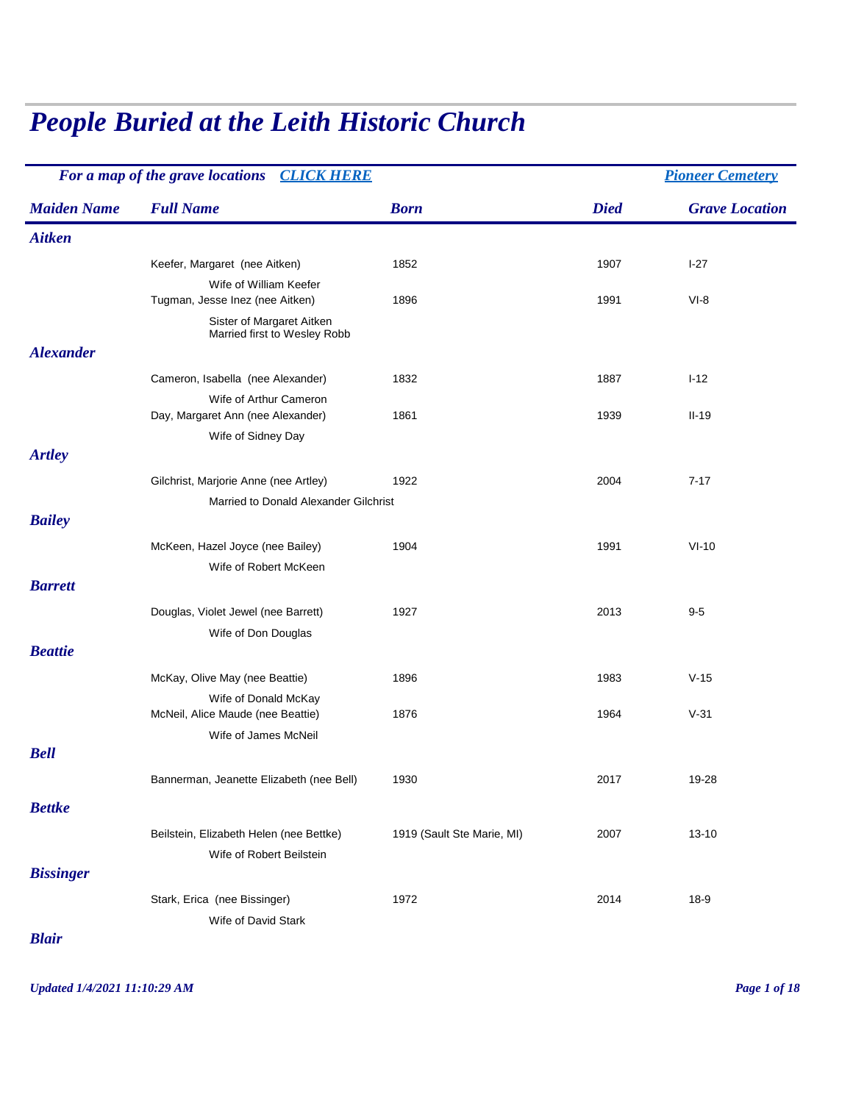## *People Buried at the Leith Historic Church*

|                    | For a map of the grave locations CLICK HERE               |                            | <b>Pioneer Cemetery</b> |                       |
|--------------------|-----------------------------------------------------------|----------------------------|-------------------------|-----------------------|
| <b>Maiden Name</b> | <b>Full Name</b>                                          | <b>Born</b>                | <b>Died</b>             | <b>Grave Location</b> |
| <b>Aitken</b>      |                                                           |                            |                         |                       |
|                    | Keefer, Margaret (nee Aitken)                             | 1852                       | 1907                    | $I-27$                |
|                    | Wife of William Keefer                                    |                            |                         |                       |
|                    | Tugman, Jesse Inez (nee Aitken)                           | 1896                       | 1991                    | $VI-8$                |
|                    | Sister of Margaret Aitken<br>Married first to Wesley Robb |                            |                         |                       |
| <b>Alexander</b>   |                                                           |                            |                         |                       |
|                    | Cameron, Isabella (nee Alexander)                         | 1832                       | 1887                    | $I-12$                |
|                    | Wife of Arthur Cameron                                    |                            |                         |                       |
|                    | Day, Margaret Ann (nee Alexander)                         | 1861                       | 1939                    | $II-19$               |
|                    | Wife of Sidney Day                                        |                            |                         |                       |
| <b>Artley</b>      |                                                           |                            |                         |                       |
|                    | Gilchrist, Marjorie Anne (nee Artley)                     | 1922                       | 2004                    | $7 - 17$              |
|                    | Married to Donald Alexander Gilchrist                     |                            |                         |                       |
| <b>Bailey</b>      |                                                           |                            |                         |                       |
|                    | McKeen, Hazel Joyce (nee Bailey)                          | 1904                       | 1991                    | $VI-10$               |
|                    | Wife of Robert McKeen                                     |                            |                         |                       |
| <b>Barrett</b>     |                                                           |                            |                         |                       |
|                    | Douglas, Violet Jewel (nee Barrett)                       | 1927                       | 2013                    | $9-5$                 |
|                    | Wife of Don Douglas                                       |                            |                         |                       |
| <b>Beattie</b>     |                                                           |                            |                         |                       |
|                    | McKay, Olive May (nee Beattie)                            | 1896                       | 1983                    | $V-15$                |
|                    | Wife of Donald McKay                                      |                            |                         |                       |
|                    | McNeil, Alice Maude (nee Beattie)                         | 1876                       | 1964                    | $V-31$                |
|                    | Wife of James McNeil                                      |                            |                         |                       |
| <b>Bell</b>        |                                                           |                            |                         |                       |
|                    | Bannerman, Jeanette Elizabeth (nee Bell)                  | 1930                       | 2017                    | 19-28                 |
| <b>Bettke</b>      |                                                           |                            |                         |                       |
|                    |                                                           |                            |                         |                       |
|                    | Beilstein, Elizabeth Helen (nee Bettke)                   | 1919 (Sault Ste Marie, MI) | 2007                    | $13 - 10$             |
| <b>Bissinger</b>   | Wife of Robert Beilstein                                  |                            |                         |                       |
|                    |                                                           |                            |                         |                       |
|                    | Stark, Erica (nee Bissinger)                              | 1972                       | 2014                    | $18-9$                |
|                    | Wife of David Stark                                       |                            |                         |                       |

*Blair*

*Updated 1/4/2021 11:10:29 AM Page 1 of 18*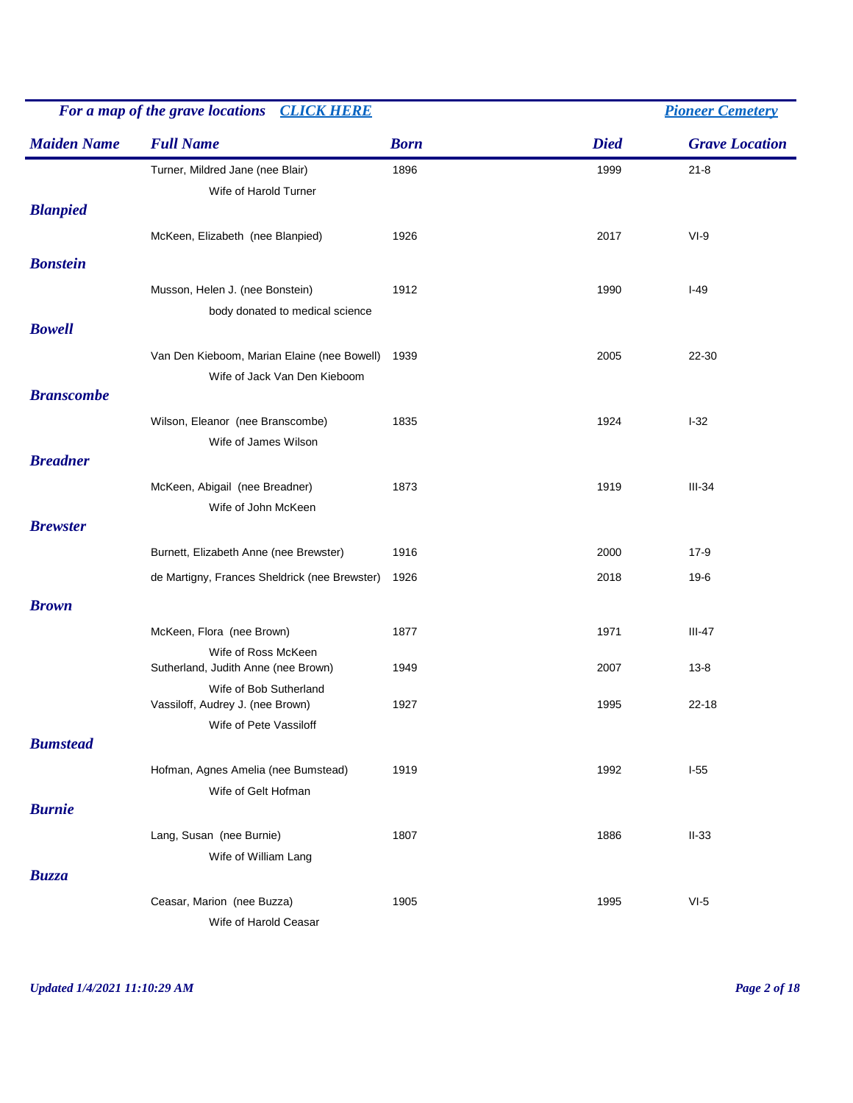| For a map of the grave locations CLICK HERE |                                                                             |             |             | <b>Pioneer Cemetery</b> |
|---------------------------------------------|-----------------------------------------------------------------------------|-------------|-------------|-------------------------|
| <b>Maiden Name</b>                          | <b>Full Name</b>                                                            | <b>Born</b> | <b>Died</b> | <b>Grave Location</b>   |
| <b>Blanpied</b>                             | Turner, Mildred Jane (nee Blair)<br>Wife of Harold Turner                   | 1896        | 1999        | $21 - 8$                |
|                                             | McKeen, Elizabeth (nee Blanpied)                                            | 1926        | 2017        | $VI-9$                  |
| <b>Bonstein</b>                             |                                                                             |             |             |                         |
|                                             | Musson, Helen J. (nee Bonstein)<br>body donated to medical science          | 1912        | 1990        | $I-49$                  |
| <b>Bowell</b>                               |                                                                             |             |             |                         |
|                                             | Van Den Kieboom, Marian Elaine (nee Bowell)<br>Wife of Jack Van Den Kieboom | 1939        | 2005        | 22-30                   |
| <b>Branscombe</b>                           |                                                                             |             |             |                         |
|                                             | Wilson, Eleanor (nee Branscombe)<br>Wife of James Wilson                    | 1835        | 1924        | $I-32$                  |
| <b>Breadner</b>                             |                                                                             |             |             |                         |
|                                             | McKeen, Abigail (nee Breadner)<br>Wife of John McKeen                       | 1873        | 1919        | $III-34$                |
| <b>Brewster</b>                             |                                                                             |             |             |                         |
|                                             | Burnett, Elizabeth Anne (nee Brewster)                                      | 1916        | 2000        | $17-9$                  |
|                                             | de Martigny, Frances Sheldrick (nee Brewster)                               | 1926        | 2018        | $19-6$                  |
| <b>Brown</b>                                |                                                                             |             |             |                         |
|                                             | McKeen, Flora (nee Brown)                                                   | 1877        | 1971        | $III-47$                |
|                                             | Wife of Ross McKeen<br>Sutherland, Judith Anne (nee Brown)                  | 1949        | 2007        | $13 - 8$                |
|                                             | Wife of Bob Sutherland<br>Vassiloff, Audrey J. (nee Brown)                  | 1927        | 1995        | $22 - 18$               |
|                                             | Wife of Pete Vassiloff                                                      |             |             |                         |
| <b>Bumstead</b>                             |                                                                             |             |             |                         |
|                                             | Hofman, Agnes Amelia (nee Bumstead)<br>Wife of Gelt Hofman                  | 1919        | 1992        | $I-55$                  |
| <b>Burnie</b>                               |                                                                             |             |             |                         |
|                                             | Lang, Susan (nee Burnie)                                                    | 1807        | 1886        | $II-33$                 |
| <b>Buzza</b>                                | Wife of William Lang                                                        |             |             |                         |
|                                             | Ceasar, Marion (nee Buzza)<br>Wife of Harold Ceasar                         | 1905        | 1995        | $VI-5$                  |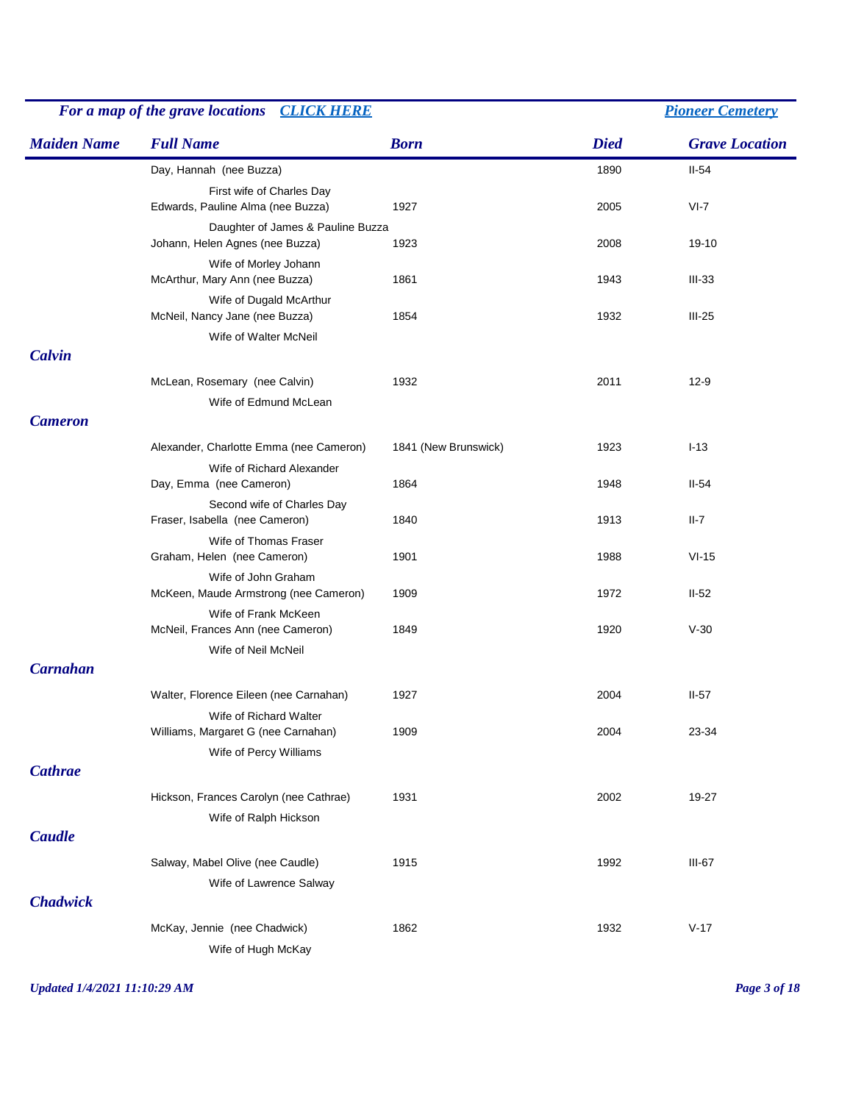| For a map of the grave locations CLICK HERE |                                                                        |                      | <b>Pioneer Cemetery</b> |                       |  |
|---------------------------------------------|------------------------------------------------------------------------|----------------------|-------------------------|-----------------------|--|
| <b>Maiden Name</b>                          | <b>Full Name</b>                                                       | <b>Born</b>          | <b>Died</b>             | <b>Grave Location</b> |  |
|                                             | Day, Hannah (nee Buzza)                                                |                      | 1890                    | $II-54$               |  |
|                                             | First wife of Charles Day                                              |                      |                         |                       |  |
|                                             | Edwards, Pauline Alma (nee Buzza)<br>Daughter of James & Pauline Buzza | 1927                 | 2005                    | $VI-7$                |  |
|                                             | Johann, Helen Agnes (nee Buzza)                                        | 1923                 | 2008                    | 19-10                 |  |
|                                             | Wife of Morley Johann                                                  |                      |                         |                       |  |
|                                             | McArthur, Mary Ann (nee Buzza)                                         | 1861                 | 1943                    | $III-33$              |  |
|                                             | Wife of Dugald McArthur<br>McNeil, Nancy Jane (nee Buzza)              | 1854                 | 1932                    | $III-25$              |  |
|                                             | Wife of Walter McNeil                                                  |                      |                         |                       |  |
| Calvin                                      |                                                                        |                      |                         |                       |  |
|                                             | McLean, Rosemary (nee Calvin)                                          | 1932                 | 2011                    | $12-9$                |  |
|                                             | Wife of Edmund McLean                                                  |                      |                         |                       |  |
| <b>Cameron</b>                              |                                                                        |                      |                         |                       |  |
|                                             | Alexander, Charlotte Emma (nee Cameron)                                | 1841 (New Brunswick) | 1923                    | $I-13$                |  |
|                                             | Wife of Richard Alexander                                              |                      |                         |                       |  |
|                                             | Day, Emma (nee Cameron)                                                | 1864                 | 1948                    | $II-54$               |  |
|                                             | Second wife of Charles Day<br>Fraser, Isabella (nee Cameron)           | 1840                 | 1913                    | $II-7$                |  |
|                                             | Wife of Thomas Fraser                                                  |                      |                         |                       |  |
|                                             | Graham, Helen (nee Cameron)                                            | 1901                 | 1988                    | $VI-15$               |  |
|                                             | Wife of John Graham<br>McKeen, Maude Armstrong (nee Cameron)           | 1909                 | 1972                    | $II-52$               |  |
|                                             | Wife of Frank McKeen<br>McNeil, Frances Ann (nee Cameron)              | 1849                 | 1920                    | $V-30$                |  |
|                                             | Wife of Neil McNeil                                                    |                      |                         |                       |  |
| <b>Carnahan</b>                             |                                                                        |                      |                         |                       |  |
|                                             | Walter, Florence Eileen (nee Carnahan)                                 | 1927                 | 2004                    | $II-57$               |  |
|                                             | Wife of Richard Walter                                                 |                      |                         |                       |  |
|                                             | Williams, Margaret G (nee Carnahan)<br>Wife of Percy Williams          | 1909                 | 2004                    | 23-34                 |  |
| <b>Cathrae</b>                              |                                                                        |                      |                         |                       |  |
|                                             | Hickson, Frances Carolyn (nee Cathrae)                                 | 1931                 | 2002                    | 19-27                 |  |
|                                             | Wife of Ralph Hickson                                                  |                      |                         |                       |  |
| <b>Caudle</b>                               |                                                                        |                      |                         |                       |  |
|                                             | Salway, Mabel Olive (nee Caudle)                                       | 1915                 | 1992                    | $III-67$              |  |
|                                             | Wife of Lawrence Salway                                                |                      |                         |                       |  |
| <b>Chadwick</b>                             |                                                                        |                      |                         |                       |  |
|                                             | McKay, Jennie (nee Chadwick)                                           | 1862                 | 1932                    | $V-17$                |  |
|                                             | Wife of Hugh McKay                                                     |                      |                         |                       |  |

*Updated 1/4/2021 11:10:29 AM Page 3 of 18*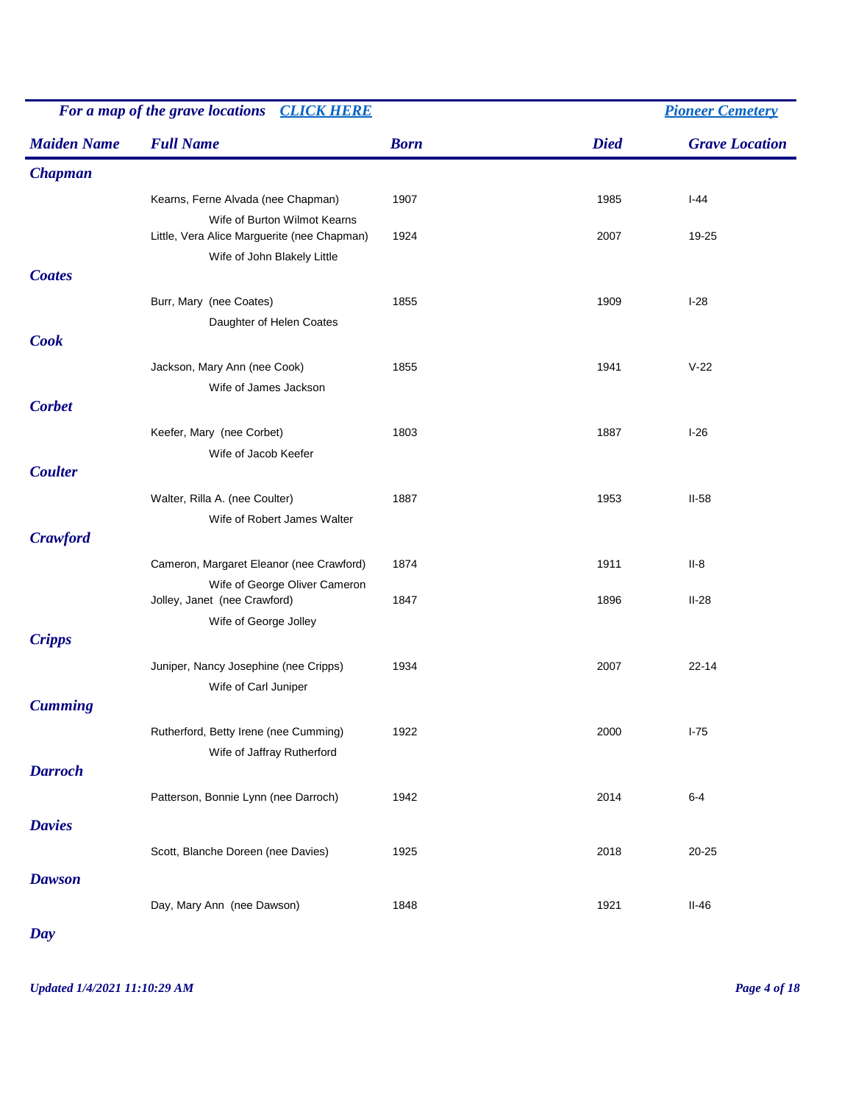|                    | For a map of the grave locations CLICK HERE                                                                |             |             | <b>Pioneer Cemetery</b> |  |  |
|--------------------|------------------------------------------------------------------------------------------------------------|-------------|-------------|-------------------------|--|--|
| <b>Maiden Name</b> | <b>Full Name</b>                                                                                           | <b>Born</b> | <b>Died</b> | <b>Grave Location</b>   |  |  |
| <b>Chapman</b>     |                                                                                                            |             |             |                         |  |  |
|                    | Kearns, Ferne Alvada (nee Chapman)                                                                         | 1907        | 1985        | $I-44$                  |  |  |
|                    | Wife of Burton Wilmot Kearns<br>Little, Vera Alice Marguerite (nee Chapman)<br>Wife of John Blakely Little | 1924        | 2007        | 19-25                   |  |  |
| <b>Coates</b>      |                                                                                                            |             |             |                         |  |  |
|                    | Burr, Mary (nee Coates)<br>Daughter of Helen Coates                                                        | 1855        | 1909        | $I-28$                  |  |  |
| <b>Cook</b>        |                                                                                                            |             |             |                         |  |  |
|                    | Jackson, Mary Ann (nee Cook)<br>Wife of James Jackson                                                      | 1855        | 1941        | $V-22$                  |  |  |
| <b>Corbet</b>      |                                                                                                            |             |             |                         |  |  |
|                    | Keefer, Mary (nee Corbet)<br>Wife of Jacob Keefer                                                          | 1803        | 1887        | $I-26$                  |  |  |
| <b>Coulter</b>     |                                                                                                            |             |             |                         |  |  |
|                    | Walter, Rilla A. (nee Coulter)<br>Wife of Robert James Walter                                              | 1887        | 1953        | $II-58$                 |  |  |
| <b>Crawford</b>    |                                                                                                            |             |             |                         |  |  |
|                    | Cameron, Margaret Eleanor (nee Crawford)<br>Wife of George Oliver Cameron                                  | 1874        | 1911        | $II-8$                  |  |  |
|                    | Jolley, Janet (nee Crawford)<br>Wife of George Jolley                                                      | 1847        | 1896        | $II-28$                 |  |  |
| <b>Cripps</b>      |                                                                                                            |             |             |                         |  |  |
|                    | Juniper, Nancy Josephine (nee Cripps)<br>Wife of Carl Juniper                                              | 1934        | 2007        | $22 - 14$               |  |  |
| <b>Cumming</b>     |                                                                                                            |             |             |                         |  |  |
|                    | Rutherford, Betty Irene (nee Cumming)<br>Wife of Jaffray Rutherford                                        | 1922        | 2000        | $I-75$                  |  |  |
| <b>Darroch</b>     |                                                                                                            |             |             |                         |  |  |
|                    | Patterson, Bonnie Lynn (nee Darroch)                                                                       | 1942        | 2014        | $6 - 4$                 |  |  |
| <b>Davies</b>      |                                                                                                            |             |             |                         |  |  |
| <b>Dawson</b>      | Scott, Blanche Doreen (nee Davies)                                                                         | 1925        | 2018        | $20 - 25$               |  |  |
|                    | Day, Mary Ann (nee Dawson)                                                                                 | 1848        | 1921        | $II-46$                 |  |  |

*Day*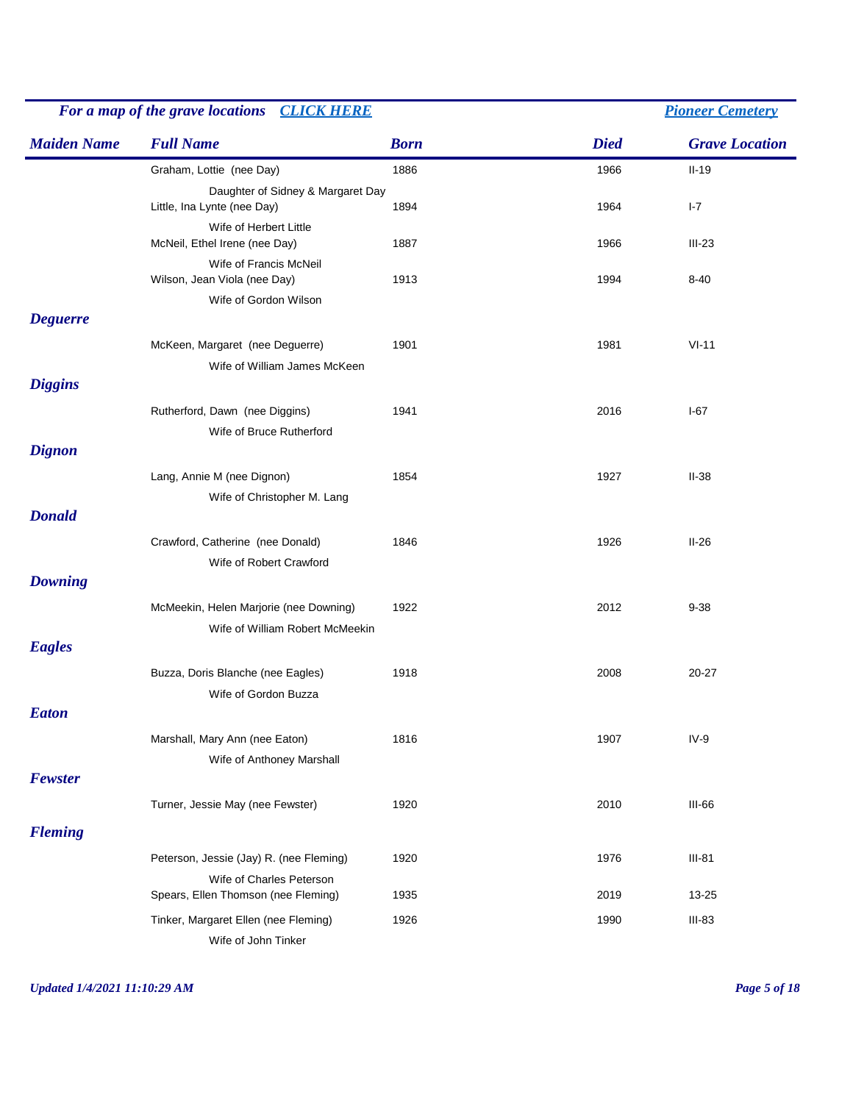|                    | For a map of the grave locations CLICK HERE             |             |             | <b>Pioneer Cemetery</b> |
|--------------------|---------------------------------------------------------|-------------|-------------|-------------------------|
| <b>Maiden Name</b> | <b>Full Name</b>                                        | <b>Born</b> | <b>Died</b> | <b>Grave Location</b>   |
|                    | Graham, Lottie (nee Day)                                | 1886        | 1966        | $II-19$                 |
|                    | Daughter of Sidney & Margaret Day                       |             |             |                         |
|                    | Little, Ina Lynte (nee Day)                             | 1894        | 1964        | $I - 7$                 |
|                    | Wife of Herbert Little<br>McNeil, Ethel Irene (nee Day) | 1887        | 1966        | $III-23$                |
|                    | Wife of Francis McNeil                                  |             |             |                         |
|                    | Wilson, Jean Viola (nee Day)                            | 1913        | 1994        | $8 - 40$                |
|                    | Wife of Gordon Wilson                                   |             |             |                         |
| <b>Deguerre</b>    |                                                         |             |             |                         |
|                    | McKeen, Margaret (nee Deguerre)                         | 1901        | 1981        | $VI-11$                 |
|                    | Wife of William James McKeen                            |             |             |                         |
| <b>Diggins</b>     |                                                         |             |             |                         |
|                    | Rutherford, Dawn (nee Diggins)                          | 1941        | 2016        | $I-67$                  |
|                    | Wife of Bruce Rutherford                                |             |             |                         |
| <b>Dignon</b>      |                                                         |             |             |                         |
|                    | Lang, Annie M (nee Dignon)                              | 1854        | 1927        | $II-38$                 |
|                    | Wife of Christopher M. Lang                             |             |             |                         |
| <b>Donald</b>      |                                                         |             |             |                         |
|                    | Crawford, Catherine (nee Donald)                        | 1846        | 1926        | $II-26$                 |
|                    | Wife of Robert Crawford                                 |             |             |                         |
| <b>Downing</b>     |                                                         |             |             |                         |
|                    | McMeekin, Helen Marjorie (nee Downing)                  | 1922        | 2012        | $9 - 38$                |
|                    | Wife of William Robert McMeekin                         |             |             |                         |
| <b>Eagles</b>      |                                                         |             |             |                         |
|                    | Buzza, Doris Blanche (nee Eagles)                       | 1918        | 2008        | $20 - 27$               |
|                    | Wife of Gordon Buzza                                    |             |             |                         |
| <b>Eaton</b>       |                                                         |             |             |                         |
|                    | Marshall, Mary Ann (nee Eaton)                          | 1816        | 1907        | $IV-9$                  |
|                    | Wife of Anthoney Marshall                               |             |             |                         |
| Fewster            |                                                         |             |             |                         |
|                    |                                                         |             |             |                         |
|                    | Turner, Jessie May (nee Fewster)                        | 1920        | 2010        | $III-66$                |
| <b>Fleming</b>     |                                                         |             |             |                         |
|                    | Peterson, Jessie (Jay) R. (nee Fleming)                 | 1920        | 1976        | $III-81$                |
|                    | Wife of Charles Peterson                                |             |             |                         |
|                    | Spears, Ellen Thomson (nee Fleming)                     | 1935        | 2019        | 13-25                   |
|                    | Tinker, Margaret Ellen (nee Fleming)                    | 1926        | 1990        | $III-83$                |
|                    | Wife of John Tinker                                     |             |             |                         |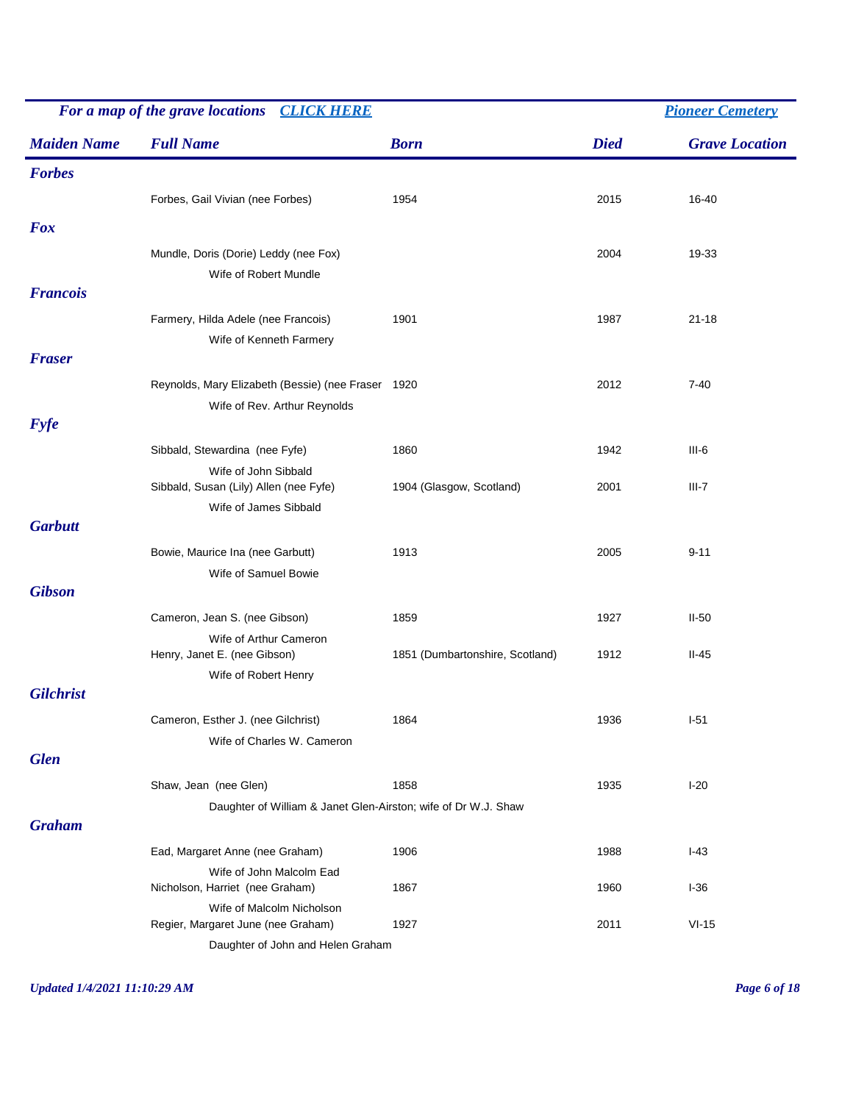|                    | For a map of the grave locations<br><b>CLICK HERE</b>           |                                 | <b>Pioneer Cemetery</b> |                       |
|--------------------|-----------------------------------------------------------------|---------------------------------|-------------------------|-----------------------|
| <b>Maiden Name</b> | <b>Full Name</b>                                                | <b>Born</b>                     | <b>Died</b>             | <b>Grave Location</b> |
| <b>Forbes</b>      |                                                                 |                                 |                         |                       |
|                    | Forbes, Gail Vivian (nee Forbes)                                | 1954                            | 2015                    | 16-40                 |
| <b>Fox</b>         |                                                                 |                                 |                         |                       |
|                    |                                                                 |                                 |                         |                       |
|                    | Mundle, Doris (Dorie) Leddy (nee Fox)                           |                                 | 2004                    | 19-33                 |
| <b>Francois</b>    | Wife of Robert Mundle                                           |                                 |                         |                       |
|                    |                                                                 |                                 |                         |                       |
|                    | Farmery, Hilda Adele (nee Francois)                             | 1901                            | 1987                    | $21 - 18$             |
| <b>Fraser</b>      | Wife of Kenneth Farmery                                         |                                 |                         |                       |
|                    |                                                                 |                                 |                         |                       |
|                    | Reynolds, Mary Elizabeth (Bessie) (nee Fraser 1920              |                                 | 2012                    | $7 - 40$              |
| <b>Fyfe</b>        | Wife of Rev. Arthur Reynolds                                    |                                 |                         |                       |
|                    |                                                                 |                                 |                         |                       |
|                    | Sibbald, Stewardina (nee Fyfe)                                  | 1860                            | 1942                    | $III-6$               |
|                    | Wife of John Sibbald<br>Sibbald, Susan (Lily) Allen (nee Fyfe)  | 1904 (Glasgow, Scotland)        | 2001                    | $III-7$               |
|                    | Wife of James Sibbald                                           |                                 |                         |                       |
| <b>Garbutt</b>     |                                                                 |                                 |                         |                       |
|                    | Bowie, Maurice Ina (nee Garbutt)                                | 1913                            | 2005                    | $9 - 11$              |
|                    | Wife of Samuel Bowie                                            |                                 |                         |                       |
| <b>Gibson</b>      |                                                                 |                                 |                         |                       |
|                    | Cameron, Jean S. (nee Gibson)                                   | 1859                            | 1927                    | $II-50$               |
|                    | Wife of Arthur Cameron                                          |                                 |                         |                       |
|                    | Henry, Janet E. (nee Gibson)                                    | 1851 (Dumbartonshire, Scotland) | 1912                    | $II-45$               |
|                    | Wife of Robert Henry                                            |                                 |                         |                       |
| <b>Gilchrist</b>   |                                                                 |                                 |                         |                       |
|                    | Cameron, Esther J. (nee Gilchrist)                              | 1864                            | 1936                    | $I-51$                |
|                    | Wife of Charles W. Cameron                                      |                                 |                         |                       |
| <b>Glen</b>        |                                                                 |                                 |                         |                       |
|                    | Shaw, Jean (nee Glen)                                           | 1858                            | 1935                    | $I-20$                |
|                    | Daughter of William & Janet Glen-Airston; wife of Dr W.J. Shaw  |                                 |                         |                       |
| <b>Graham</b>      |                                                                 |                                 |                         |                       |
|                    | Ead, Margaret Anne (nee Graham)                                 | 1906                            | 1988                    | $I-43$                |
|                    | Wife of John Malcolm Ead                                        |                                 |                         |                       |
|                    | Nicholson, Harriet (nee Graham)                                 | 1867                            | 1960                    | $I-36$                |
|                    | Wife of Malcolm Nicholson<br>Regier, Margaret June (nee Graham) | 1927                            | 2011                    | $VI-15$               |
|                    | Daughter of John and Helen Graham                               |                                 |                         |                       |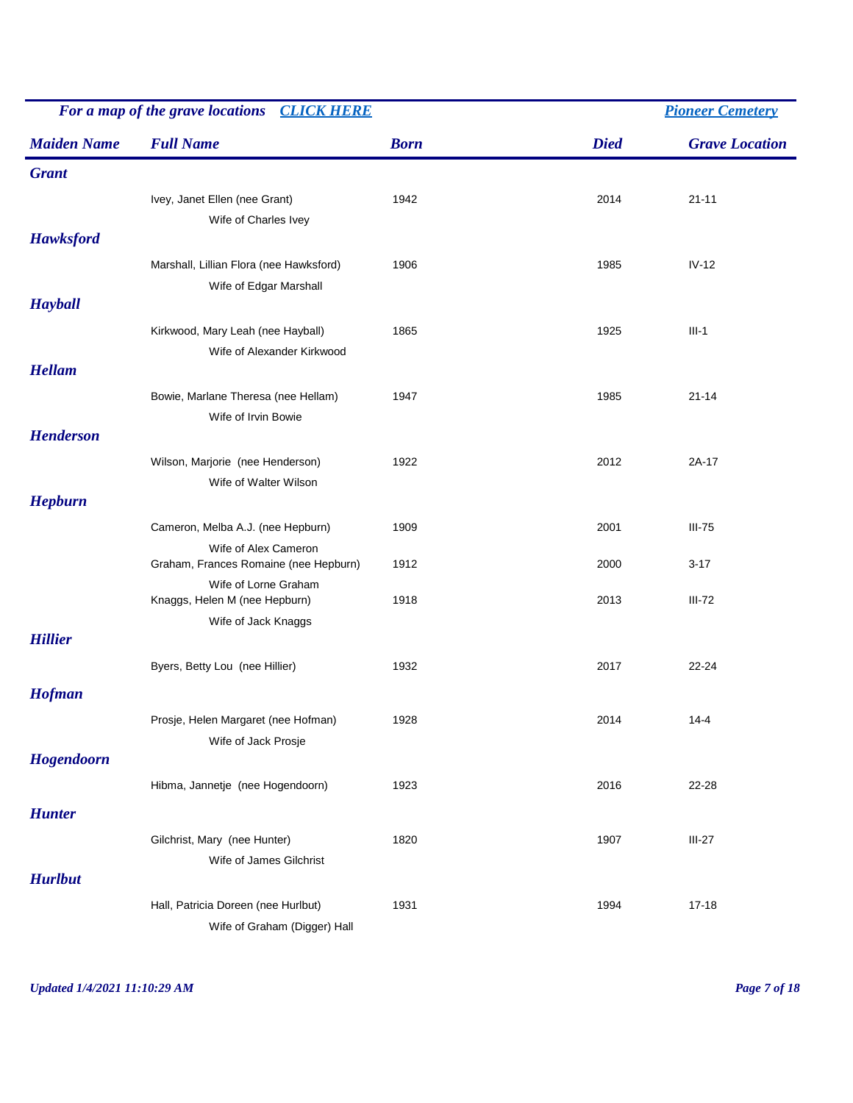|                                 | For a map of the grave locations<br><b>CLICK HERE</b>               |             |             | <b>Pioneer Cemetery</b> |  |  |
|---------------------------------|---------------------------------------------------------------------|-------------|-------------|-------------------------|--|--|
| <b>Maiden Name</b>              | <b>Full Name</b>                                                    | <b>Born</b> | <b>Died</b> | <b>Grave Location</b>   |  |  |
| <b>Grant</b>                    |                                                                     |             |             |                         |  |  |
| <b>Hawksford</b>                | Ivey, Janet Ellen (nee Grant)<br>Wife of Charles Ivey               | 1942        | 2014        | $21 - 11$               |  |  |
|                                 | Marshall, Lillian Flora (nee Hawksford)<br>Wife of Edgar Marshall   | 1906        | 1985        | $IV-12$                 |  |  |
| <b>Hayball</b><br><b>Hellam</b> | Kirkwood, Mary Leah (nee Hayball)<br>Wife of Alexander Kirkwood     | 1865        | 1925        | $III-1$                 |  |  |
|                                 | Bowie, Marlane Theresa (nee Hellam)<br>Wife of Irvin Bowie          | 1947        | 1985        | $21 - 14$               |  |  |
| <b>Henderson</b>                | Wilson, Marjorie (nee Henderson)<br>Wife of Walter Wilson           | 1922        | 2012        | $2A-17$                 |  |  |
| <b>Hepburn</b>                  |                                                                     |             |             |                         |  |  |
|                                 | Cameron, Melba A.J. (nee Hepburn)                                   | 1909        | 2001        | $III-75$                |  |  |
|                                 | Wife of Alex Cameron<br>Graham, Frances Romaine (nee Hepburn)       | 1912        | 2000        | $3 - 17$                |  |  |
|                                 | Wife of Lorne Graham<br>Knaggs, Helen M (nee Hepburn)               | 1918        | 2013        | $III-72$                |  |  |
| <b>Hillier</b>                  | Wife of Jack Knaggs                                                 |             |             |                         |  |  |
|                                 | Byers, Betty Lou (nee Hillier)                                      | 1932        | 2017        | $22 - 24$               |  |  |
| <b>Hofman</b>                   |                                                                     |             |             |                         |  |  |
|                                 | Prosje, Helen Margaret (nee Hofman)<br>Wife of Jack Prosje          | 1928        | 2014        | $14 - 4$                |  |  |
| Hogendoorn                      |                                                                     |             |             |                         |  |  |
| <b>Hunter</b>                   | Hibma, Jannetje (nee Hogendoorn)                                    | 1923        | 2016        | 22-28                   |  |  |
| <b>Hurlbut</b>                  | Gilchrist, Mary (nee Hunter)<br>Wife of James Gilchrist             | 1820        | 1907        | $III-27$                |  |  |
|                                 | Hall, Patricia Doreen (nee Hurlbut)<br>Wife of Graham (Digger) Hall | 1931        | 1994        | $17 - 18$               |  |  |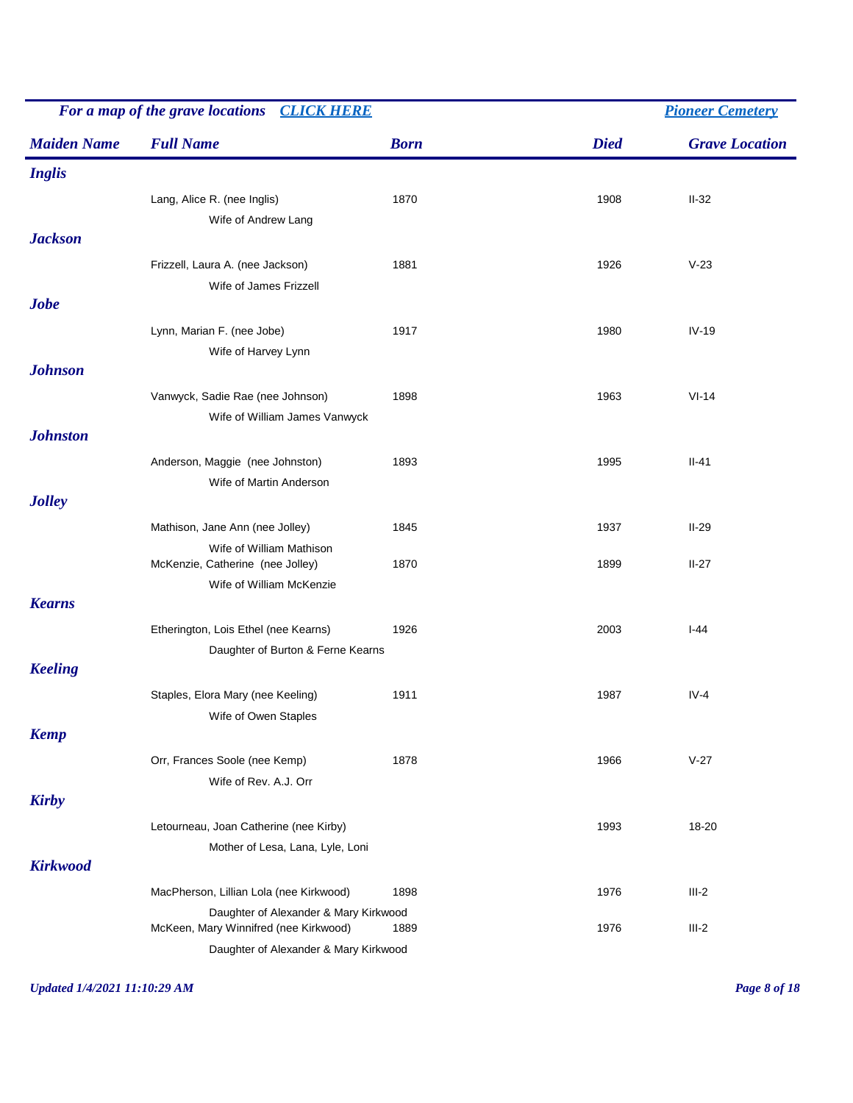| For a map of the grave locations CLICK HERE |                                         |             |             | <b>Pioneer Cemetery</b> |  |  |
|---------------------------------------------|-----------------------------------------|-------------|-------------|-------------------------|--|--|
| <b>Maiden Name</b>                          | <b>Full Name</b>                        | <b>Born</b> | <b>Died</b> | <b>Grave Location</b>   |  |  |
| <b>Inglis</b>                               |                                         |             |             |                         |  |  |
|                                             | Lang, Alice R. (nee Inglis)             | 1870        | 1908        | $II-32$                 |  |  |
|                                             | Wife of Andrew Lang                     |             |             |                         |  |  |
| <b>Jackson</b>                              |                                         |             |             |                         |  |  |
|                                             | Frizzell, Laura A. (nee Jackson)        | 1881        | 1926        | $V-23$                  |  |  |
|                                             | Wife of James Frizzell                  |             |             |                         |  |  |
| <b>Jobe</b>                                 |                                         |             |             |                         |  |  |
|                                             | Lynn, Marian F. (nee Jobe)              | 1917        | 1980        | $IV-19$                 |  |  |
|                                             | Wife of Harvey Lynn                     |             |             |                         |  |  |
| <b>Johnson</b>                              |                                         |             |             |                         |  |  |
|                                             | Vanwyck, Sadie Rae (nee Johnson)        | 1898        | 1963        | $VI-14$                 |  |  |
|                                             | Wife of William James Vanwyck           |             |             |                         |  |  |
| <b>Johnston</b>                             |                                         |             |             |                         |  |  |
|                                             | Anderson, Maggie (nee Johnston)         | 1893        | 1995        | $II-41$                 |  |  |
|                                             | Wife of Martin Anderson                 |             |             |                         |  |  |
| <b>Jolley</b>                               |                                         |             |             |                         |  |  |
|                                             | Mathison, Jane Ann (nee Jolley)         | 1845        | 1937        | $II-29$                 |  |  |
|                                             | Wife of William Mathison                |             |             |                         |  |  |
|                                             | McKenzie, Catherine (nee Jolley)        | 1870        | 1899        | $II-27$                 |  |  |
| <b>Kearns</b>                               | Wife of William McKenzie                |             |             |                         |  |  |
|                                             | Etherington, Lois Ethel (nee Kearns)    | 1926        | 2003        | l-44                    |  |  |
|                                             | Daughter of Burton & Ferne Kearns       |             |             |                         |  |  |
| <b>Keeling</b>                              |                                         |             |             |                         |  |  |
|                                             | Staples, Elora Mary (nee Keeling)       | 1911        | 1987        | $IV-4$                  |  |  |
|                                             | Wife of Owen Staples                    |             |             |                         |  |  |
| <b>Kemp</b>                                 |                                         |             |             |                         |  |  |
|                                             | Orr, Frances Soole (nee Kemp)           | 1878        | 1966        | $V-27$                  |  |  |
|                                             | Wife of Rev. A.J. Orr                   |             |             |                         |  |  |
| <b>Kirby</b>                                |                                         |             |             |                         |  |  |
|                                             | Letourneau, Joan Catherine (nee Kirby)  |             | 1993        | 18-20                   |  |  |
|                                             | Mother of Lesa, Lana, Lyle, Loni        |             |             |                         |  |  |
| <b>Kirkwood</b>                             |                                         |             |             |                         |  |  |
|                                             | MacPherson, Lillian Lola (nee Kirkwood) | 1898        | 1976        | $III-2$                 |  |  |
|                                             | Daughter of Alexander & Mary Kirkwood   |             |             |                         |  |  |
|                                             | McKeen, Mary Winnifred (nee Kirkwood)   | 1889        | 1976        | $III-2$                 |  |  |
|                                             | Daughter of Alexander & Mary Kirkwood   |             |             |                         |  |  |

*Updated 1/4/2021 11:10:29 AM Page 8 of 18*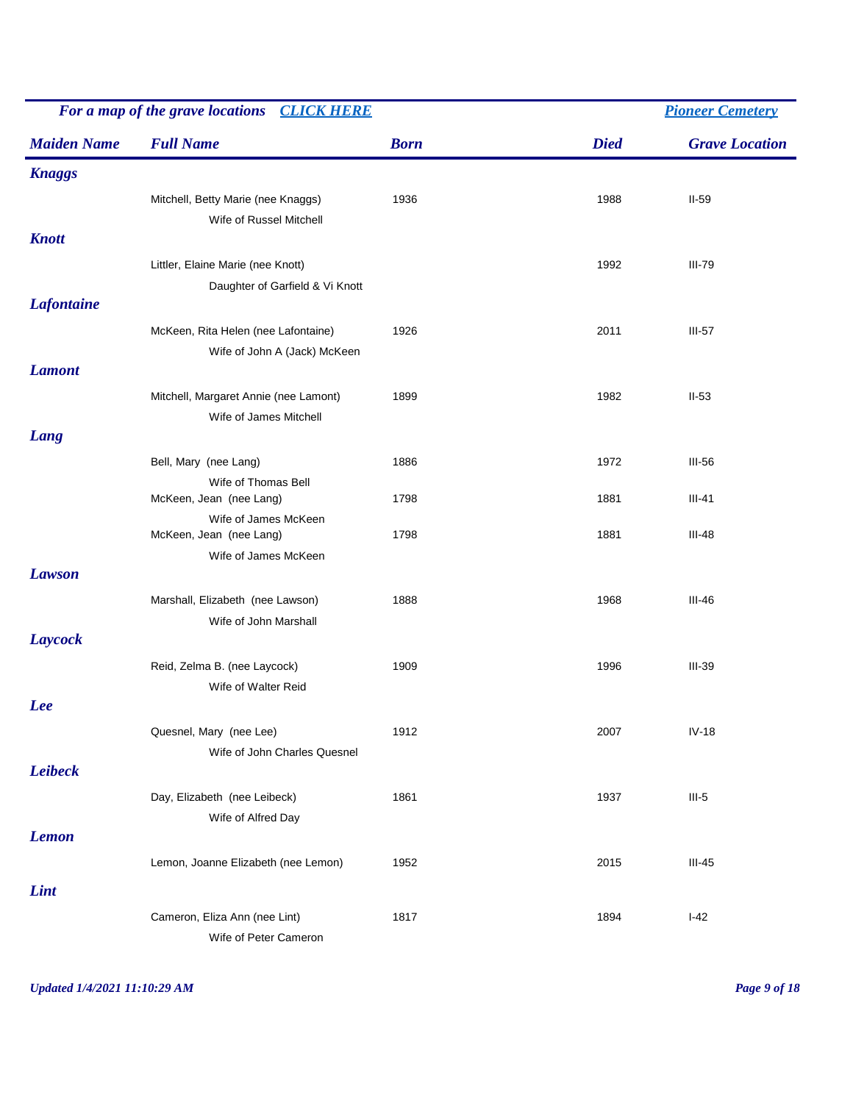|                    | For a map of the grave locations<br><b>CLICK HERE</b>                |             |             | <b>Pioneer Cemetery</b> |  |  |
|--------------------|----------------------------------------------------------------------|-------------|-------------|-------------------------|--|--|
| <b>Maiden Name</b> | <b>Full Name</b>                                                     | <b>Born</b> | <b>Died</b> | <b>Grave Location</b>   |  |  |
| <b>Knaggs</b>      |                                                                      |             |             |                         |  |  |
| <b>Knott</b>       | Mitchell, Betty Marie (nee Knaggs)<br>Wife of Russel Mitchell        | 1936        | 1988        | $II-59$                 |  |  |
|                    | Littler, Elaine Marie (nee Knott)<br>Daughter of Garfield & Vi Knott |             | 1992        | <b>III-79</b>           |  |  |
| <b>Lafontaine</b>  |                                                                      |             |             |                         |  |  |
|                    | McKeen, Rita Helen (nee Lafontaine)<br>Wife of John A (Jack) McKeen  | 1926        | 2011        | $III-57$                |  |  |
| <b>Lamont</b>      | Mitchell, Margaret Annie (nee Lamont)<br>Wife of James Mitchell      | 1899        | 1982        | $II-53$                 |  |  |
| Lang               |                                                                      |             |             |                         |  |  |
|                    | Bell, Mary (nee Lang)                                                | 1886        | 1972        | $III-56$                |  |  |
|                    | Wife of Thomas Bell<br>McKeen, Jean (nee Lang)                       | 1798        | 1881        | $III-41$                |  |  |
|                    | Wife of James McKeen<br>McKeen, Jean (nee Lang)                      | 1798        | 1881        | $III-48$                |  |  |
| <b>Lawson</b>      | Wife of James McKeen                                                 |             |             |                         |  |  |
|                    | Marshall, Elizabeth (nee Lawson)<br>Wife of John Marshall            | 1888        | 1968        | $III-46$                |  |  |
| Laycock            |                                                                      |             |             |                         |  |  |
|                    | Reid, Zelma B. (nee Laycock)<br>Wife of Walter Reid                  | 1909        | 1996        | <b>III-39</b>           |  |  |
| <b>Lee</b>         |                                                                      |             |             |                         |  |  |
|                    | Quesnel, Mary (nee Lee)<br>Wife of John Charles Quesnel              | 1912        | 2007        | $IV-18$                 |  |  |
| <b>Leibeck</b>     |                                                                      |             |             |                         |  |  |
|                    | Day, Elizabeth (nee Leibeck)<br>Wife of Alfred Day                   | 1861        | 1937        | $III-5$                 |  |  |
| <b>Lemon</b>       |                                                                      |             |             |                         |  |  |
|                    | Lemon, Joanne Elizabeth (nee Lemon)                                  | 1952        | 2015        | $III-45$                |  |  |
| Lint               |                                                                      |             |             |                         |  |  |
|                    | Cameron, Eliza Ann (nee Lint)<br>Wife of Peter Cameron               | 1817        | 1894        | $I-42$                  |  |  |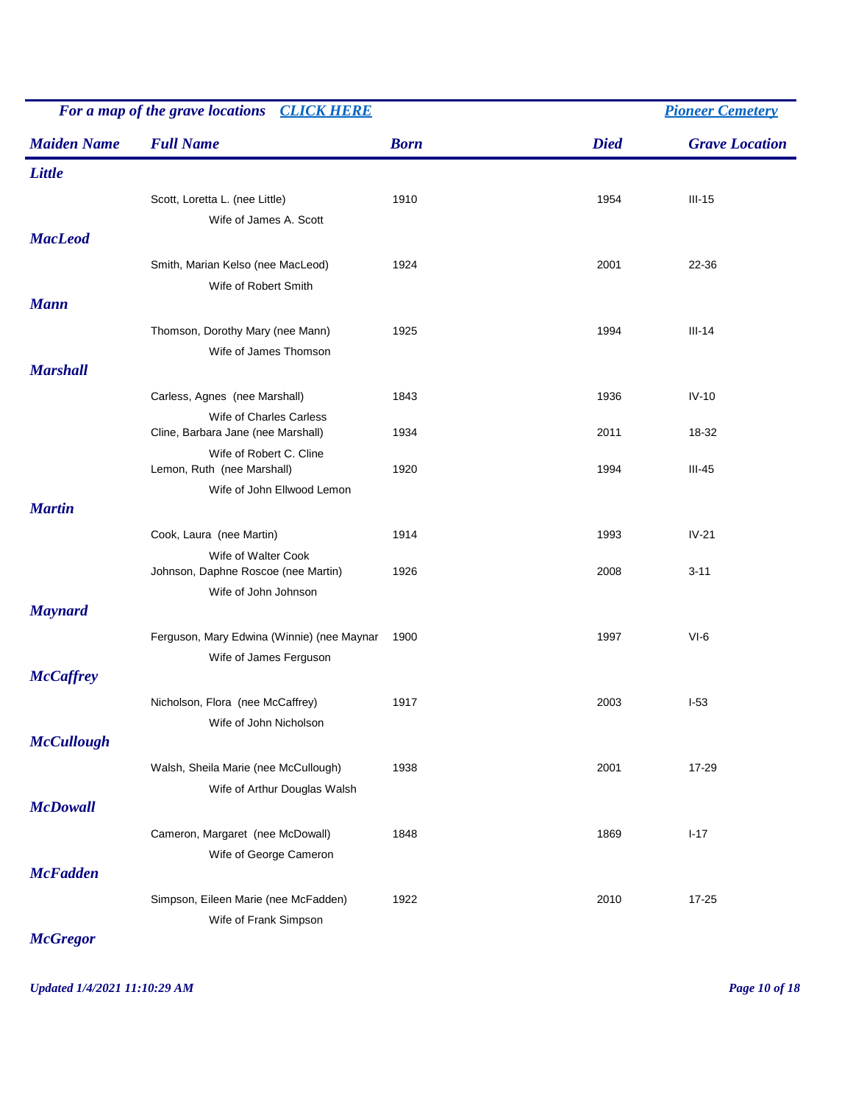|                    | For a map of the grave locations<br><b>CLICK HERE</b>                              |             |             | <b>Pioneer Cemetery</b> |  |  |
|--------------------|------------------------------------------------------------------------------------|-------------|-------------|-------------------------|--|--|
| <b>Maiden Name</b> | <b>Full Name</b>                                                                   | <b>Born</b> | <b>Died</b> | <b>Grave Location</b>   |  |  |
| Little             |                                                                                    |             |             |                         |  |  |
| <b>MacLeod</b>     | Scott, Loretta L. (nee Little)<br>Wife of James A. Scott                           | 1910        | 1954        | $III-15$                |  |  |
|                    | Smith, Marian Kelso (nee MacLeod)<br>Wife of Robert Smith                          | 1924        | 2001        | 22-36                   |  |  |
| <b>Mann</b>        |                                                                                    |             |             |                         |  |  |
| <b>Marshall</b>    | Thomson, Dorothy Mary (nee Mann)<br>Wife of James Thomson                          | 1925        | 1994        | $III-14$                |  |  |
|                    | Carless, Agnes (nee Marshall)                                                      | 1843        | 1936        | $IV-10$                 |  |  |
|                    | Wife of Charles Carless<br>Cline, Barbara Jane (nee Marshall)                      | 1934        | 2011        | 18-32                   |  |  |
|                    | Wife of Robert C. Cline<br>Lemon, Ruth (nee Marshall)                              | 1920        | 1994        | $III-45$                |  |  |
| <b>Martin</b>      | Wife of John Ellwood Lemon                                                         |             |             |                         |  |  |
|                    | Cook, Laura (nee Martin)                                                           | 1914        | 1993        | $IV-21$                 |  |  |
|                    | Wife of Walter Cook<br>Johnson, Daphne Roscoe (nee Martin)<br>Wife of John Johnson | 1926        | 2008        | $3 - 11$                |  |  |
| <b>Maynard</b>     |                                                                                    |             |             |                         |  |  |
|                    | Ferguson, Mary Edwina (Winnie) (nee Maynar<br>Wife of James Ferguson               | 1900        | 1997        | $VI-6$                  |  |  |
| <b>McCaffrey</b>   |                                                                                    |             |             |                         |  |  |
|                    | Nicholson, Flora (nee McCaffrey)<br>Wife of John Nicholson                         | 1917        | 2003        | $I-53$                  |  |  |
| <b>McCullough</b>  |                                                                                    |             |             |                         |  |  |
| <b>McDowall</b>    | Walsh, Sheila Marie (nee McCullough)<br>Wife of Arthur Douglas Walsh               | 1938        | 2001        | 17-29                   |  |  |
|                    | Cameron, Margaret (nee McDowall)<br>Wife of George Cameron                         | 1848        | 1869        | $I-17$                  |  |  |
| <b>McFadden</b>    |                                                                                    |             |             |                         |  |  |
|                    | Simpson, Eileen Marie (nee McFadden)<br>Wife of Frank Simpson                      | 1922        | 2010        | 17-25                   |  |  |

*McGregor*

*Updated 1/4/2021 11:10:29 AM Page 10 of 18*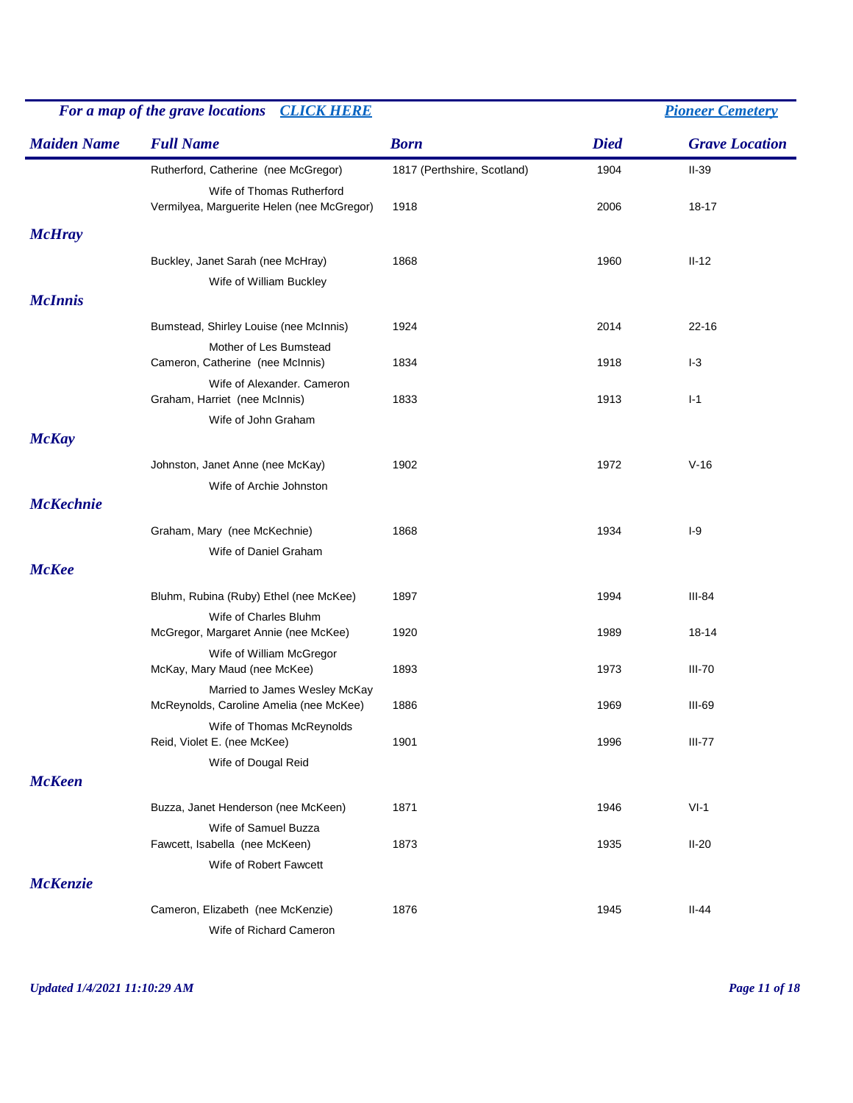| For a map of the grave locations CLICK HERE |                                                          |                             |             | <b>Pioneer Cemetery</b> |  |
|---------------------------------------------|----------------------------------------------------------|-----------------------------|-------------|-------------------------|--|
| <b>Maiden Name</b>                          | <b>Full Name</b>                                         | <b>Born</b>                 | <b>Died</b> | <b>Grave Location</b>   |  |
|                                             | Rutherford, Catherine (nee McGregor)                     | 1817 (Perthshire, Scotland) | 1904        | $II-39$                 |  |
|                                             | Wife of Thomas Rutherford                                |                             |             |                         |  |
|                                             | Vermilyea, Marguerite Helen (nee McGregor)               | 1918                        | 2006        | 18-17                   |  |
| <b>McHray</b>                               |                                                          |                             |             |                         |  |
|                                             | Buckley, Janet Sarah (nee McHray)                        | 1868                        | 1960        | $II-12$                 |  |
|                                             | Wife of William Buckley                                  |                             |             |                         |  |
| <b>McInnis</b>                              |                                                          |                             |             |                         |  |
|                                             | Bumstead, Shirley Louise (nee McInnis)                   | 1924                        | 2014        | $22 - 16$               |  |
|                                             | Mother of Les Bumstead                                   |                             |             |                         |  |
|                                             | Cameron, Catherine (nee McInnis)                         | 1834                        | 1918        | $I-3$                   |  |
|                                             | Wife of Alexander. Cameron                               |                             |             |                         |  |
|                                             | Graham, Harriet (nee McInnis)                            | 1833                        | 1913        | $I-1$                   |  |
| <b>McKay</b>                                | Wife of John Graham                                      |                             |             |                         |  |
|                                             |                                                          |                             |             |                         |  |
|                                             | Johnston, Janet Anne (nee McKay)                         | 1902                        | 1972        | $V-16$                  |  |
| <b>McKechnie</b>                            | Wife of Archie Johnston                                  |                             |             |                         |  |
|                                             |                                                          |                             |             |                         |  |
|                                             | Graham, Mary (nee McKechnie)                             | 1868                        | 1934        | $I-9$                   |  |
|                                             | Wife of Daniel Graham                                    |                             |             |                         |  |
| <b>McKee</b>                                |                                                          |                             |             |                         |  |
|                                             | Bluhm, Rubina (Ruby) Ethel (nee McKee)                   | 1897                        | 1994        | III-84                  |  |
|                                             | Wife of Charles Bluhm                                    |                             |             |                         |  |
|                                             | McGregor, Margaret Annie (nee McKee)                     | 1920                        | 1989        | 18-14                   |  |
|                                             | Wife of William McGregor<br>McKay, Mary Maud (nee McKee) | 1893                        | 1973        | <b>III-70</b>           |  |
|                                             | Married to James Wesley McKay                            |                             |             |                         |  |
|                                             | McReynolds, Caroline Amelia (nee McKee)                  | 1886                        | 1969        | III-69                  |  |
|                                             | Wife of Thomas McReynolds                                |                             |             |                         |  |
|                                             | Reid, Violet E. (nee McKee)                              | 1901                        | 1996        | $III-77$                |  |
|                                             | Wife of Dougal Reid                                      |                             |             |                         |  |
| <b>McKeen</b>                               |                                                          |                             |             |                         |  |
|                                             | Buzza, Janet Henderson (nee McKeen)                      | 1871                        | 1946        | $VI-1$                  |  |
|                                             | Wife of Samuel Buzza                                     |                             |             |                         |  |
|                                             | Fawcett, Isabella (nee McKeen)                           | 1873                        | 1935        | $II-20$                 |  |
| <b>McKenzie</b>                             | Wife of Robert Fawcett                                   |                             |             |                         |  |
|                                             |                                                          |                             |             |                         |  |
|                                             | Cameron, Elizabeth (nee McKenzie)                        | 1876                        | 1945        | $II-44$                 |  |
|                                             | Wife of Richard Cameron                                  |                             |             |                         |  |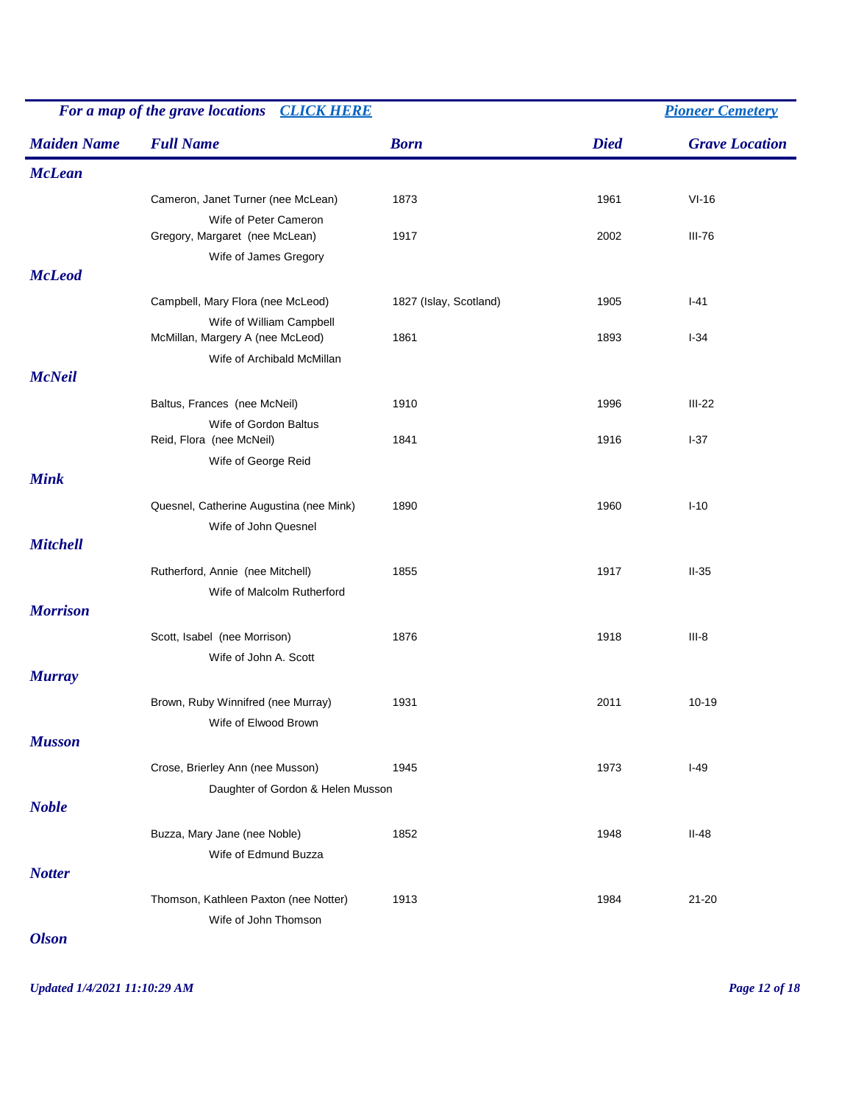| For a map of the grave locations<br><b>CLICK HERE</b> |                                                              |                        |             | <b>Pioneer Cemetery</b> |
|-------------------------------------------------------|--------------------------------------------------------------|------------------------|-------------|-------------------------|
| <b>Maiden Name</b>                                    | <b>Full Name</b>                                             | <b>Born</b>            | <b>Died</b> | <b>Grave Location</b>   |
| <b>McLean</b>                                         |                                                              |                        |             |                         |
|                                                       | Cameron, Janet Turner (nee McLean)                           | 1873                   | 1961        | $VI-16$                 |
|                                                       | Wife of Peter Cameron                                        |                        |             |                         |
|                                                       | Gregory, Margaret (nee McLean)                               | 1917                   | 2002        | $III-76$                |
| <b>McLeod</b>                                         | Wife of James Gregory                                        |                        |             |                         |
|                                                       |                                                              |                        |             |                         |
|                                                       | Campbell, Mary Flora (nee McLeod)                            | 1827 (Islay, Scotland) | 1905        | $I-41$                  |
|                                                       | Wife of William Campbell<br>McMillan, Margery A (nee McLeod) | 1861                   | 1893        | $I-34$                  |
|                                                       | Wife of Archibald McMillan                                   |                        |             |                         |
| <b>McNeil</b>                                         |                                                              |                        |             |                         |
|                                                       | Baltus, Frances (nee McNeil)                                 | 1910                   | 1996        | $III-22$                |
|                                                       | Wife of Gordon Baltus                                        |                        |             |                         |
|                                                       | Reid, Flora (nee McNeil)                                     | 1841                   | 1916        | $I-37$                  |
|                                                       | Wife of George Reid                                          |                        |             |                         |
| <b>Mink</b>                                           |                                                              |                        |             |                         |
|                                                       | Quesnel, Catherine Augustina (nee Mink)                      | 1890                   | 1960        | $I-10$                  |
|                                                       | Wife of John Quesnel                                         |                        |             |                         |
| <b>Mitchell</b>                                       |                                                              |                        |             |                         |
|                                                       | Rutherford, Annie (nee Mitchell)                             | 1855                   | 1917        | $II-35$                 |
|                                                       | Wife of Malcolm Rutherford                                   |                        |             |                         |
| <b>Morrison</b>                                       |                                                              |                        |             |                         |
|                                                       | Scott, Isabel (nee Morrison)                                 | 1876                   | 1918        | $III-8$                 |
|                                                       | Wife of John A. Scott                                        |                        |             |                         |
| <b>Murray</b>                                         |                                                              |                        |             |                         |
|                                                       | Brown, Ruby Winnifred (nee Murray)                           | 1931                   | 2011        | $10 - 19$               |
|                                                       | Wife of Elwood Brown                                         |                        |             |                         |
| <b>Musson</b>                                         |                                                              |                        |             |                         |
|                                                       | Crose, Brierley Ann (nee Musson)                             | 1945                   | 1973        | $I-49$                  |
|                                                       | Daughter of Gordon & Helen Musson                            |                        |             |                         |
| <b>Noble</b>                                          |                                                              |                        |             |                         |
|                                                       | Buzza, Mary Jane (nee Noble)                                 | 1852                   | 1948        | $II-48$                 |
|                                                       | Wife of Edmund Buzza                                         |                        |             |                         |
| <b>Notter</b>                                         |                                                              |                        |             |                         |
|                                                       | Thomson, Kathleen Paxton (nee Notter)                        | 1913                   | 1984        | $21 - 20$               |
|                                                       | Wife of John Thomson                                         |                        |             |                         |
|                                                       |                                                              |                        |             |                         |

*Olson*

*Updated 1/4/2021 11:10:29 AM Page 12 of 18*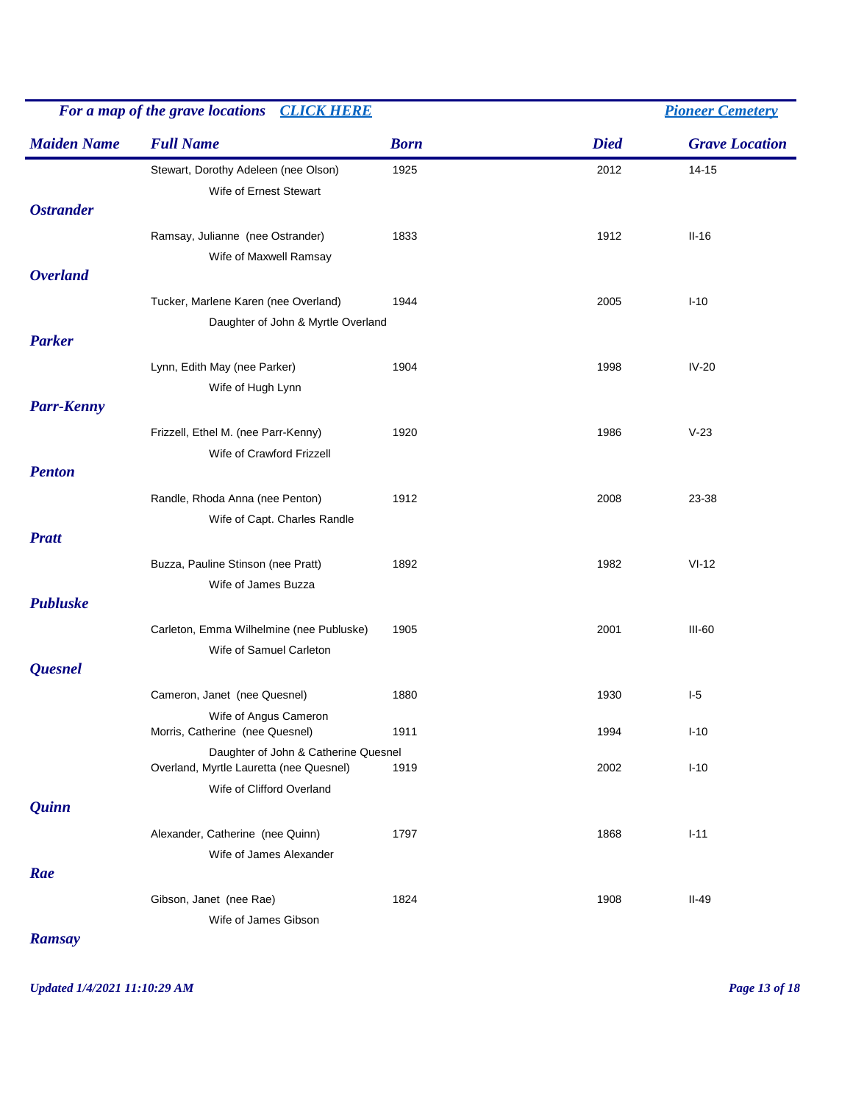| For a map of the grave locations CLICK HERE |                                                                                 |             |             | <b>Pioneer Cemetery</b> |  |  |
|---------------------------------------------|---------------------------------------------------------------------------------|-------------|-------------|-------------------------|--|--|
| <b>Maiden Name</b>                          | <b>Full Name</b>                                                                | <b>Born</b> | <b>Died</b> | <b>Grave Location</b>   |  |  |
| <b>Ostrander</b>                            | Stewart, Dorothy Adeleen (nee Olson)<br>Wife of Ernest Stewart                  | 1925        | 2012        | $14 - 15$               |  |  |
|                                             | Ramsay, Julianne (nee Ostrander)<br>Wife of Maxwell Ramsay                      | 1833        | 1912        | $II-16$                 |  |  |
| <b>Overland</b>                             |                                                                                 |             |             |                         |  |  |
|                                             | Tucker, Marlene Karen (nee Overland)<br>Daughter of John & Myrtle Overland      | 1944        | 2005        | $I-10$                  |  |  |
| <b>Parker</b><br><b>Parr-Kenny</b>          | Lynn, Edith May (nee Parker)<br>Wife of Hugh Lynn                               | 1904        | 1998        | $IV-20$                 |  |  |
|                                             | Frizzell, Ethel M. (nee Parr-Kenny)<br>Wife of Crawford Frizzell                | 1920        | 1986        | $V-23$                  |  |  |
| <b>Penton</b>                               |                                                                                 |             |             |                         |  |  |
|                                             | Randle, Rhoda Anna (nee Penton)<br>Wife of Capt. Charles Randle                 | 1912        | 2008        | 23-38                   |  |  |
| <b>Pratt</b>                                |                                                                                 |             |             |                         |  |  |
|                                             | Buzza, Pauline Stinson (nee Pratt)<br>Wife of James Buzza                       | 1892        | 1982        | $VI-12$                 |  |  |
| <b>Publuske</b>                             |                                                                                 |             |             |                         |  |  |
|                                             | Carleton, Emma Wilhelmine (nee Publuske)<br>Wife of Samuel Carleton             | 1905        | 2001        | $III-60$                |  |  |
| Quesnel                                     |                                                                                 |             |             |                         |  |  |
|                                             | Cameron, Janet (nee Quesnel)                                                    | 1880        | 1930        | $1-5$                   |  |  |
|                                             | Wife of Angus Cameron<br>Morris, Catherine (nee Quesnel)                        | 1911        | 1994        | $I-10$                  |  |  |
|                                             | Daughter of John & Catherine Quesnel<br>Overland, Myrtle Lauretta (nee Quesnel) | 1919        | 2002        | $I-10$                  |  |  |
| <i><b>Quinn</b></i>                         | Wife of Clifford Overland                                                       |             |             |                         |  |  |
|                                             | Alexander, Catherine (nee Quinn)<br>Wife of James Alexander                     | 1797        | 1868        | $I-11$                  |  |  |
| Rae                                         |                                                                                 |             |             |                         |  |  |
|                                             | Gibson, Janet (nee Rae)<br>Wife of James Gibson                                 | 1824        | 1908        | $II-49$                 |  |  |
| <b>Ramsay</b>                               |                                                                                 |             |             |                         |  |  |

*Updated 1/4/2021 11:10:29 AM Page 13 of 18*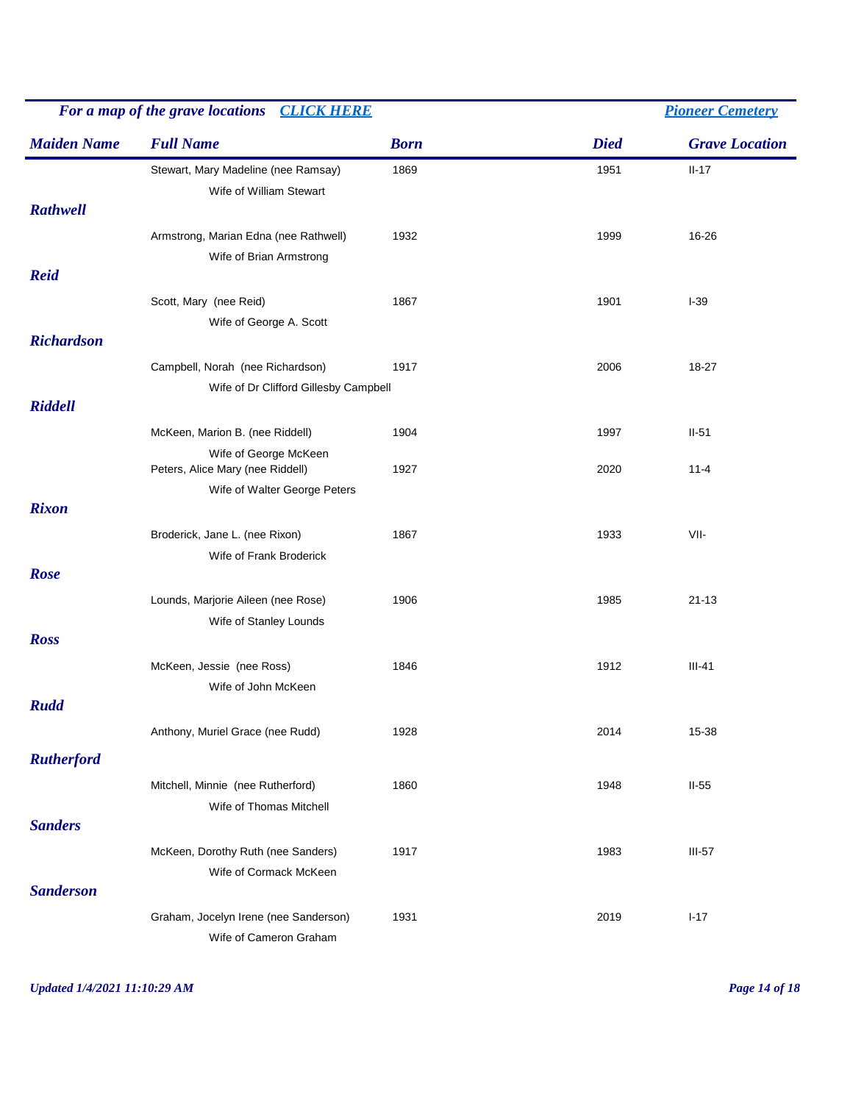| For a map of the grave locations<br><b>CLICK HERE</b> |                                       |             | <b>Pioneer Cemetery</b> |                       |  |
|-------------------------------------------------------|---------------------------------------|-------------|-------------------------|-----------------------|--|
| <b>Maiden Name</b>                                    | <b>Full Name</b>                      | <b>Born</b> | <b>Died</b>             | <b>Grave Location</b> |  |
|                                                       | Stewart, Mary Madeline (nee Ramsay)   | 1869        | 1951                    | $II-17$               |  |
|                                                       | Wife of William Stewart               |             |                         |                       |  |
| <b>Rathwell</b>                                       |                                       |             |                         |                       |  |
|                                                       | Armstrong, Marian Edna (nee Rathwell) | 1932        | 1999                    | 16-26                 |  |
|                                                       | Wife of Brian Armstrong               |             |                         |                       |  |
| <b>Reid</b>                                           |                                       |             |                         |                       |  |
|                                                       | Scott, Mary (nee Reid)                | 1867        | 1901                    | $I-39$                |  |
|                                                       | Wife of George A. Scott               |             |                         |                       |  |
| <b>Richardson</b>                                     |                                       |             |                         |                       |  |
|                                                       | Campbell, Norah (nee Richardson)      | 1917        | 2006                    | 18-27                 |  |
|                                                       | Wife of Dr Clifford Gillesby Campbell |             |                         |                       |  |
| <b>Riddell</b>                                        |                                       |             |                         |                       |  |
|                                                       | McKeen, Marion B. (nee Riddell)       | 1904        | 1997                    | $II-51$               |  |
|                                                       | Wife of George McKeen                 |             |                         |                       |  |
|                                                       | Peters, Alice Mary (nee Riddell)      | 1927        | 2020                    | $11 - 4$              |  |
|                                                       | Wife of Walter George Peters          |             |                         |                       |  |
| <b>Rixon</b>                                          |                                       |             |                         |                       |  |
|                                                       | Broderick, Jane L. (nee Rixon)        | 1867        | 1933                    | VII-                  |  |
|                                                       | Wife of Frank Broderick               |             |                         |                       |  |
| Rose                                                  |                                       |             |                         |                       |  |
|                                                       | Lounds, Marjorie Aileen (nee Rose)    | 1906        | 1985                    | $21 - 13$             |  |
|                                                       | Wife of Stanley Lounds                |             |                         |                       |  |
| <b>Ross</b>                                           |                                       |             |                         |                       |  |
|                                                       | McKeen, Jessie (nee Ross)             | 1846        | 1912                    | $III-41$              |  |
|                                                       | Wife of John McKeen                   |             |                         |                       |  |
| <b>Rudd</b>                                           |                                       |             |                         |                       |  |
|                                                       | Anthony, Muriel Grace (nee Rudd)      | 1928        | 2014                    | 15-38                 |  |
|                                                       |                                       |             |                         |                       |  |
| <b>Rutherford</b>                                     |                                       |             |                         |                       |  |
|                                                       | Mitchell, Minnie (nee Rutherford)     | 1860        | 1948                    | $II-55$               |  |
|                                                       | Wife of Thomas Mitchell               |             |                         |                       |  |
| <b>Sanders</b>                                        |                                       |             |                         |                       |  |
|                                                       | McKeen, Dorothy Ruth (nee Sanders)    | 1917        | 1983                    | $III-57$              |  |
|                                                       | Wife of Cormack McKeen                |             |                         |                       |  |
| <b>Sanderson</b>                                      |                                       |             |                         |                       |  |
|                                                       | Graham, Jocelyn Irene (nee Sanderson) | 1931        | 2019                    | $I-17$                |  |
|                                                       | Wife of Cameron Graham                |             |                         |                       |  |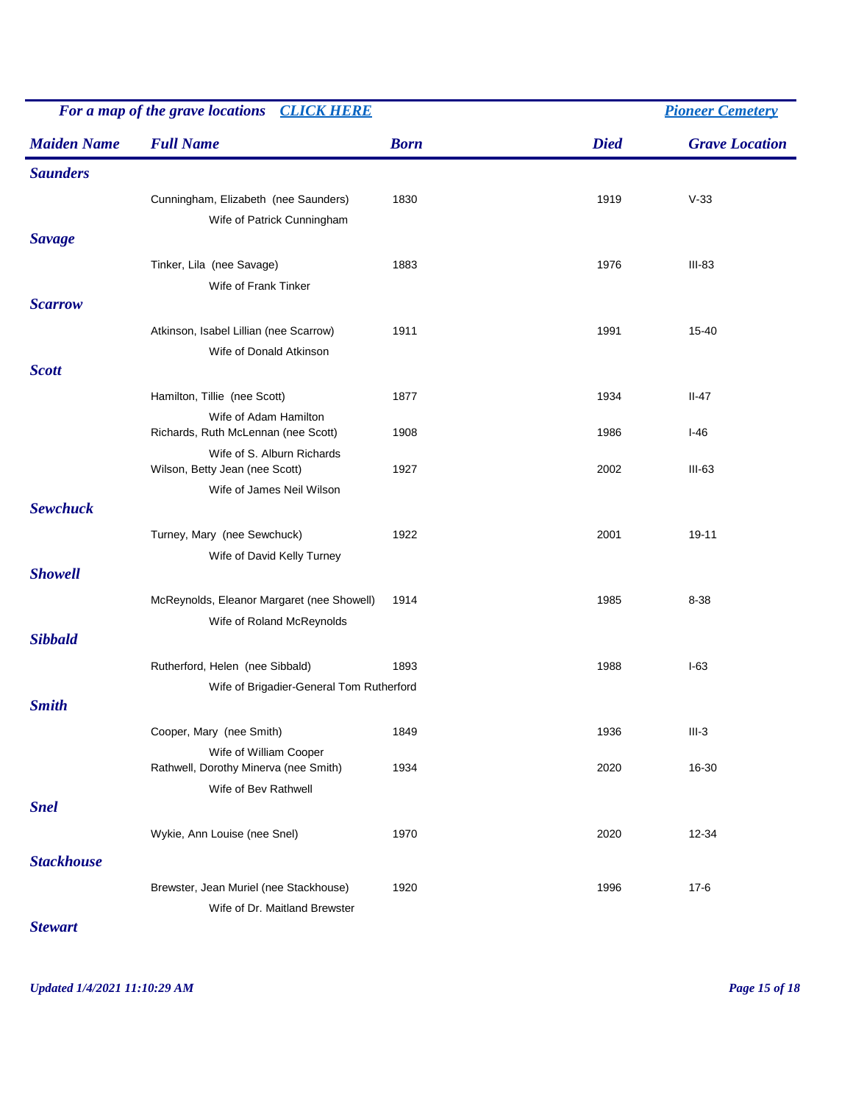|                    | For a map of the grave locations<br><b>CLICK HERE</b>                   |             |             | <b>Pioneer Cemetery</b> |  |  |
|--------------------|-------------------------------------------------------------------------|-------------|-------------|-------------------------|--|--|
| <b>Maiden Name</b> | <b>Full Name</b>                                                        | <b>Born</b> | <b>Died</b> | <b>Grave Location</b>   |  |  |
| <b>Saunders</b>    |                                                                         |             |             |                         |  |  |
|                    | Cunningham, Elizabeth (nee Saunders)<br>Wife of Patrick Cunningham      | 1830        | 1919        | $V-33$                  |  |  |
| <b>Savage</b>      |                                                                         |             |             |                         |  |  |
|                    | Tinker, Lila (nee Savage)<br>Wife of Frank Tinker                       | 1883        | 1976        | $III-83$                |  |  |
| <b>Scarrow</b>     |                                                                         |             |             |                         |  |  |
|                    | Atkinson, Isabel Lillian (nee Scarrow)<br>Wife of Donald Atkinson       | 1911        | 1991        | 15-40                   |  |  |
| <b>Scott</b>       |                                                                         |             |             |                         |  |  |
|                    | Hamilton, Tillie (nee Scott)<br>Wife of Adam Hamilton                   | 1877        | 1934        | $II-47$                 |  |  |
|                    | Richards, Ruth McLennan (nee Scott)                                     | 1908        | 1986        | $I-46$                  |  |  |
|                    | Wife of S. Alburn Richards<br>Wilson, Betty Jean (nee Scott)            | 1927        | 2002        | $III-63$                |  |  |
| <b>Sewchuck</b>    | Wife of James Neil Wilson                                               |             |             |                         |  |  |
|                    | Turney, Mary (nee Sewchuck)                                             | 1922        | 2001        | 19-11                   |  |  |
|                    | Wife of David Kelly Turney                                              |             |             |                         |  |  |
| <b>Showell</b>     |                                                                         |             |             |                         |  |  |
|                    | McReynolds, Eleanor Margaret (nee Showell)                              | 1914        | 1985        | 8-38                    |  |  |
|                    | Wife of Roland McReynolds                                               |             |             |                         |  |  |
| <b>Sibbald</b>     |                                                                         |             |             |                         |  |  |
|                    | Rutherford, Helen (nee Sibbald)                                         | 1893        | 1988        | $I-63$                  |  |  |
| <b>Smith</b>       | Wife of Brigadier-General Tom Rutherford                                |             |             |                         |  |  |
|                    | Cooper, Mary (nee Smith)                                                | 1849        | 1936        | $III-3$                 |  |  |
|                    | Wife of William Cooper<br>Rathwell, Dorothy Minerva (nee Smith)         | 1934        | 2020        | 16-30                   |  |  |
|                    | Wife of Bev Rathwell                                                    |             |             |                         |  |  |
| <b>Snel</b>        |                                                                         |             |             |                         |  |  |
|                    | Wykie, Ann Louise (nee Snel)                                            | 1970        | 2020        | 12-34                   |  |  |
| <b>Stackhouse</b>  |                                                                         |             |             |                         |  |  |
|                    | Brewster, Jean Muriel (nee Stackhouse)<br>Wife of Dr. Maitland Brewster | 1920        | 1996        | $17 - 6$                |  |  |

*Stewart*

*Updated 1/4/2021 11:10:29 AM Page 15 of 18*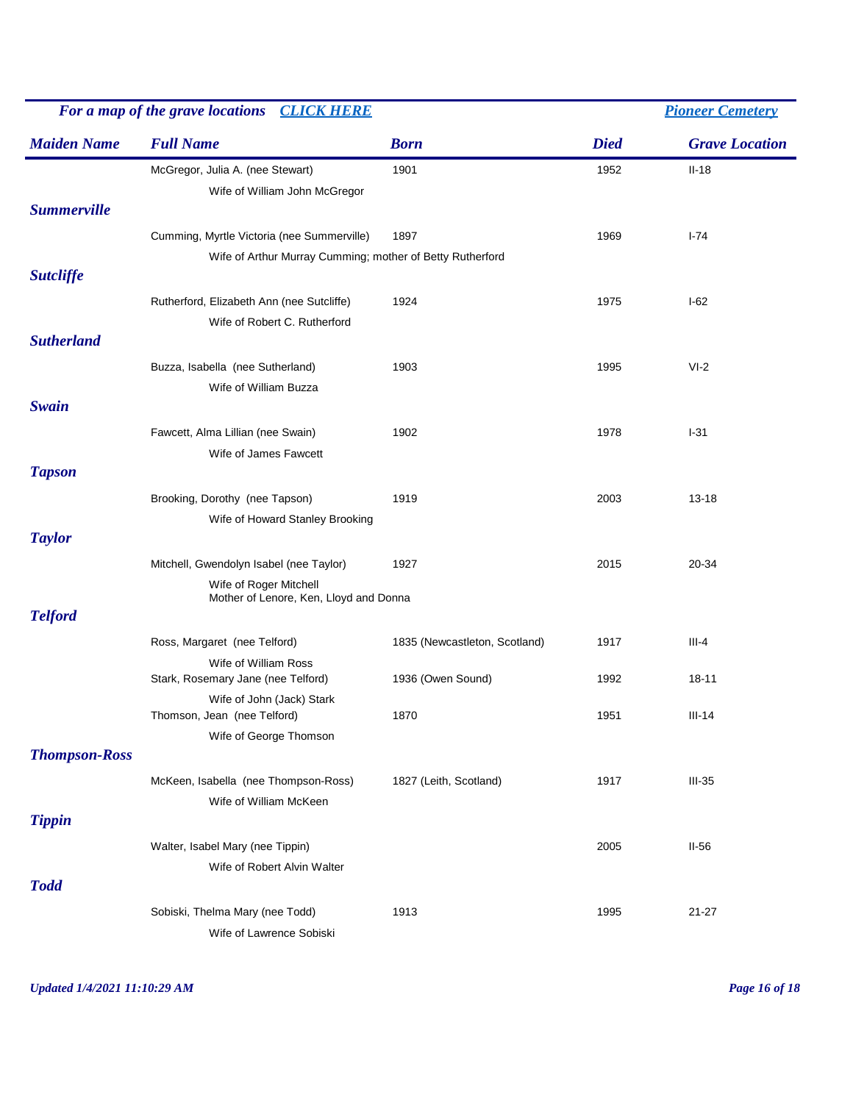| For a map of the grave locations CLICK HERE |                                                           |                               |             | <b>Pioneer Cemetery</b> |
|---------------------------------------------|-----------------------------------------------------------|-------------------------------|-------------|-------------------------|
| <b>Maiden Name</b>                          | <b>Full Name</b>                                          | <b>Born</b>                   | <b>Died</b> | <b>Grave Location</b>   |
|                                             | McGregor, Julia A. (nee Stewart)                          | 1901                          | 1952        | $II-18$                 |
|                                             | Wife of William John McGregor                             |                               |             |                         |
| <b>Summerville</b>                          |                                                           |                               |             |                         |
|                                             | Cumming, Myrtle Victoria (nee Summerville)                | 1897                          | 1969        | $I - 74$                |
|                                             | Wife of Arthur Murray Cumming; mother of Betty Rutherford |                               |             |                         |
| <b>Sutcliffe</b>                            |                                                           |                               |             |                         |
|                                             | Rutherford, Elizabeth Ann (nee Sutcliffe)                 | 1924                          | 1975        | $I-62$                  |
|                                             | Wife of Robert C. Rutherford                              |                               |             |                         |
| <b>Sutherland</b>                           |                                                           |                               |             |                         |
|                                             | Buzza, Isabella (nee Sutherland)                          | 1903                          | 1995        | $VI-2$                  |
|                                             | Wife of William Buzza                                     |                               |             |                         |
| <b>Swain</b>                                |                                                           |                               |             |                         |
|                                             | Fawcett, Alma Lillian (nee Swain)                         | 1902                          | 1978        | $1-31$                  |
|                                             | Wife of James Fawcett                                     |                               |             |                         |
| <b>Tapson</b>                               |                                                           |                               |             |                         |
|                                             | Brooking, Dorothy (nee Tapson)                            | 1919                          | 2003        | $13 - 18$               |
|                                             | Wife of Howard Stanley Brooking                           |                               |             |                         |
| <b>Taylor</b>                               |                                                           |                               |             |                         |
|                                             | Mitchell, Gwendolyn Isabel (nee Taylor)                   | 1927                          | 2015        | 20-34                   |
|                                             | Wife of Roger Mitchell                                    |                               |             |                         |
|                                             | Mother of Lenore, Ken, Lloyd and Donna                    |                               |             |                         |
| <b>Telford</b>                              |                                                           |                               |             |                         |
|                                             | Ross, Margaret (nee Telford)                              | 1835 (Newcastleton, Scotland) | 1917        | $III-4$                 |
|                                             | Wife of William Ross                                      |                               |             |                         |
|                                             | Stark, Rosemary Jane (nee Telford)                        | 1936 (Owen Sound)             | 1992        | $18 - 11$               |
|                                             | Wife of John (Jack) Stark<br>Thomson, Jean (nee Telford)  | 1870                          | 1951        | $III-14$                |
|                                             | Wife of George Thomson                                    |                               |             |                         |
| <b>Thompson-Ross</b>                        |                                                           |                               |             |                         |
|                                             | McKeen, Isabella (nee Thompson-Ross)                      | 1827 (Leith, Scotland)        | 1917        | $III-35$                |
|                                             | Wife of William McKeen                                    |                               |             |                         |
| <b>Tippin</b>                               |                                                           |                               |             |                         |
|                                             | Walter, Isabel Mary (nee Tippin)                          |                               | 2005        | $II-56$                 |
|                                             |                                                           |                               |             |                         |
| <b>Todd</b>                                 | Wife of Robert Alvin Walter                               |                               |             |                         |
|                                             |                                                           |                               |             |                         |
|                                             | Sobiski, Thelma Mary (nee Todd)                           | 1913                          | 1995        | $21 - 27$               |
|                                             | Wife of Lawrence Sobiski                                  |                               |             |                         |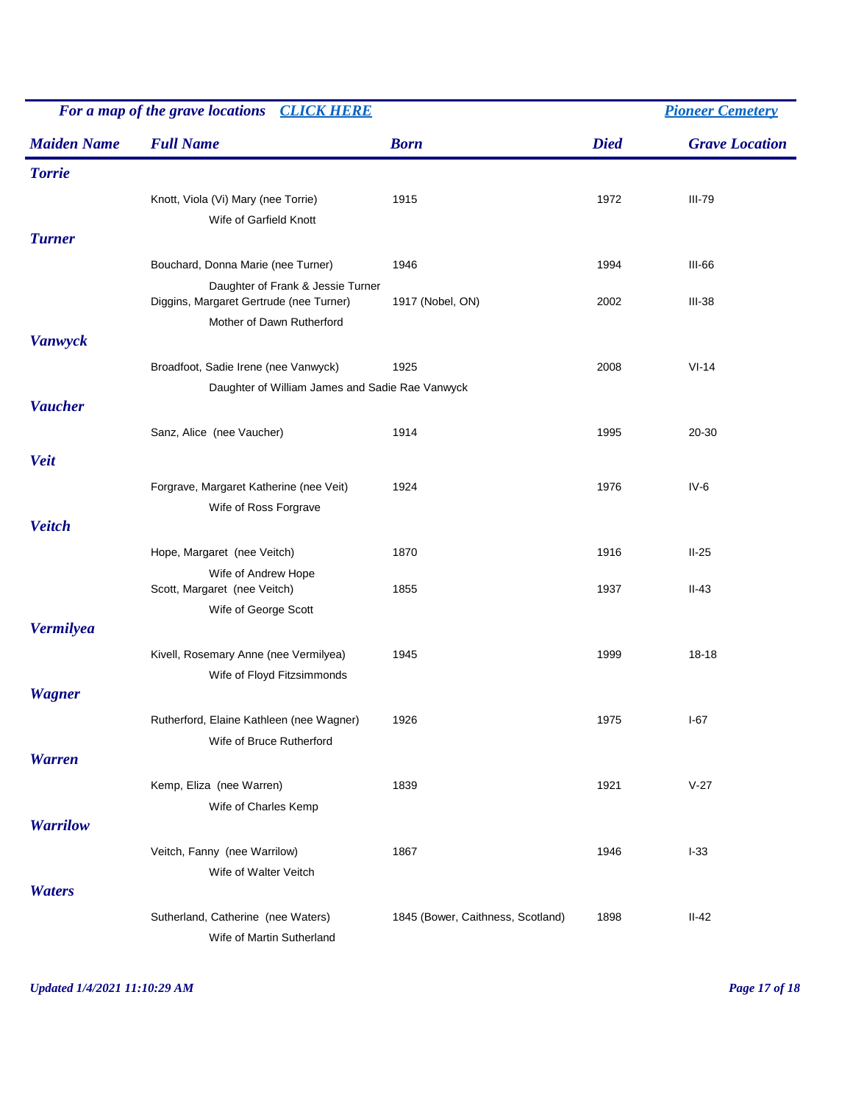| For a map of the grave locations<br><b>CLICK HERE</b> |                                                                                                                    |                                   | <b>Pioneer Cemetery</b> |                       |  |
|-------------------------------------------------------|--------------------------------------------------------------------------------------------------------------------|-----------------------------------|-------------------------|-----------------------|--|
| <b>Maiden Name</b>                                    | <b>Full Name</b>                                                                                                   | <b>Born</b>                       | <b>Died</b>             | <b>Grave Location</b> |  |
| <b>Torrie</b>                                         |                                                                                                                    |                                   |                         |                       |  |
| <b>Turner</b>                                         | Knott, Viola (Vi) Mary (nee Torrie)<br>Wife of Garfield Knott                                                      | 1915                              | 1972                    | <b>III-79</b>         |  |
|                                                       |                                                                                                                    |                                   |                         | <b>III-66</b>         |  |
|                                                       | Bouchard, Donna Marie (nee Turner)<br>Daughter of Frank & Jessie Turner<br>Diggins, Margaret Gertrude (nee Turner) | 1946<br>1917 (Nobel, ON)          | 1994<br>2002            | $III-38$              |  |
|                                                       | Mother of Dawn Rutherford                                                                                          |                                   |                         |                       |  |
| <b>Vanwyck</b>                                        |                                                                                                                    |                                   |                         |                       |  |
|                                                       | Broadfoot, Sadie Irene (nee Vanwyck)                                                                               | 1925                              | 2008                    | $VI-14$               |  |
|                                                       | Daughter of William James and Sadie Rae Vanwyck                                                                    |                                   |                         |                       |  |
| <b>Vaucher</b>                                        |                                                                                                                    |                                   |                         |                       |  |
|                                                       | Sanz, Alice (nee Vaucher)                                                                                          | 1914                              | 1995                    | 20-30                 |  |
| <b>Veit</b>                                           |                                                                                                                    |                                   |                         |                       |  |
|                                                       | Forgrave, Margaret Katherine (nee Veit)<br>Wife of Ross Forgrave                                                   | 1924                              | 1976                    | $IV-6$                |  |
| <b>Veitch</b>                                         |                                                                                                                    |                                   |                         |                       |  |
|                                                       | Hope, Margaret (nee Veitch)                                                                                        | 1870                              | 1916                    | $II-25$               |  |
|                                                       | Wife of Andrew Hope<br>Scott, Margaret (nee Veitch)                                                                | 1855                              | 1937                    | $II-43$               |  |
|                                                       | Wife of George Scott                                                                                               |                                   |                         |                       |  |
| <b>Vermilyea</b>                                      |                                                                                                                    |                                   |                         |                       |  |
|                                                       | Kivell, Rosemary Anne (nee Vermilyea)                                                                              | 1945                              | 1999                    | $18 - 18$             |  |
|                                                       | Wife of Floyd Fitzsimmonds                                                                                         |                                   |                         |                       |  |
| <b>Wagner</b>                                         |                                                                                                                    |                                   |                         |                       |  |
|                                                       | Rutherford, Elaine Kathleen (nee Wagner)                                                                           | 1926                              | 1975                    | $I-67$                |  |
|                                                       | Wife of Bruce Rutherford                                                                                           |                                   |                         |                       |  |
| <b>Warren</b>                                         |                                                                                                                    |                                   |                         |                       |  |
|                                                       | Kemp, Eliza (nee Warren)                                                                                           | 1839                              | 1921                    | $V-27$                |  |
| <b>Warrilow</b>                                       | Wife of Charles Kemp                                                                                               |                                   |                         |                       |  |
|                                                       | Veitch, Fanny (nee Warrilow)                                                                                       | 1867                              | 1946                    | $I-33$                |  |
|                                                       | Wife of Walter Veitch                                                                                              |                                   |                         |                       |  |
| <b>Waters</b>                                         |                                                                                                                    |                                   |                         |                       |  |
|                                                       | Sutherland, Catherine (nee Waters)<br>Wife of Martin Sutherland                                                    | 1845 (Bower, Caithness, Scotland) | 1898                    | $II-42$               |  |

*Updated 1/4/2021 11:10:29 AM Page 17 of 18*